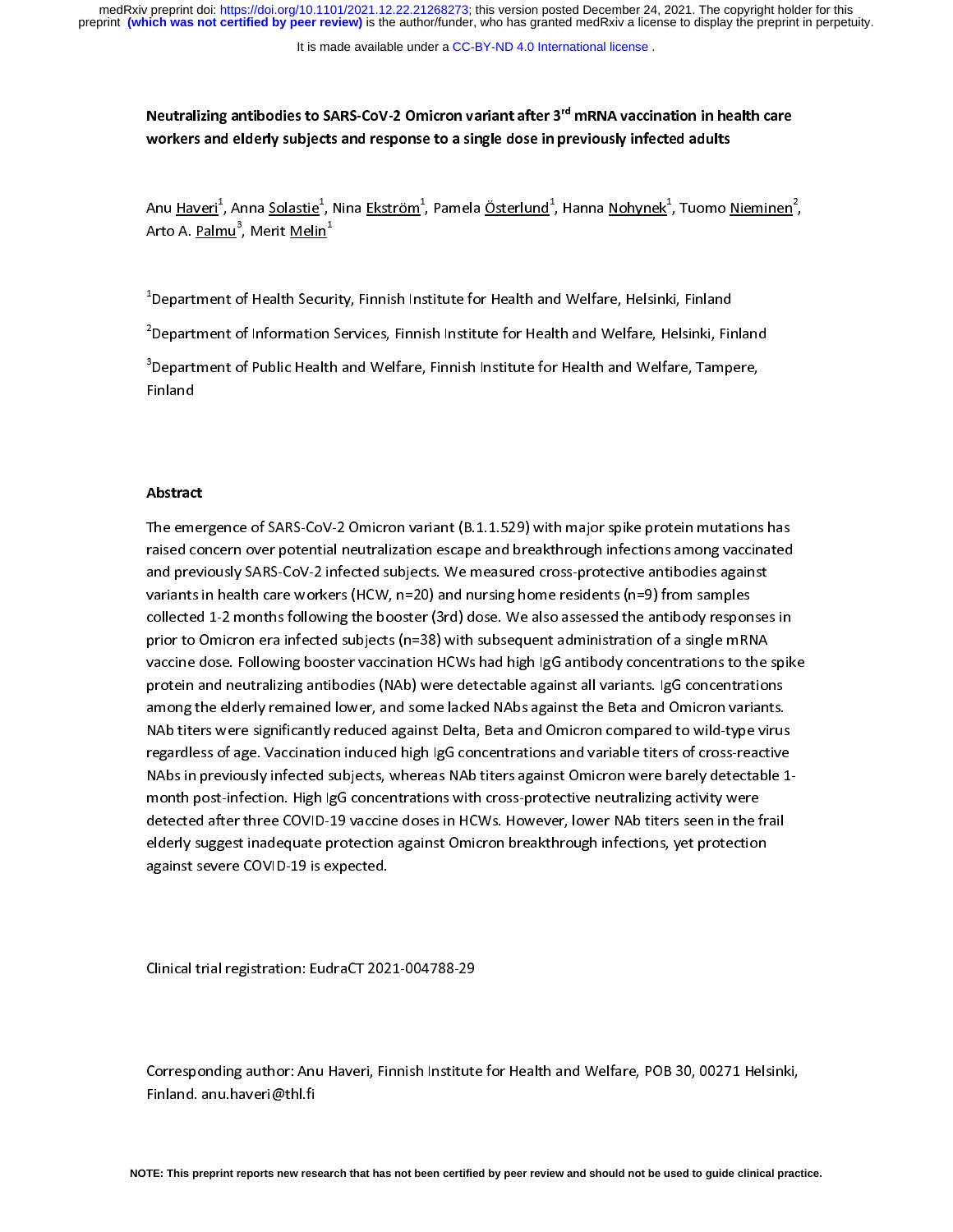Neutralizing antibodies to SARS-CoV-2 Omicron variant after 3<sup>rd</sup> mRNA vaccination in health care workers and elderly subjects and response to a single dose in previously infected adults

 $\frac{1}{2}$ Anu <u>Haveri</u>", Anna <u>Solastie"</u><br>Arto A. <u>Palmu<sup>3</sup>, Merit Melin</u><br>1 , Nina <u>Ekström</u><br>1<br>1<br>1 , Pamela <u>Österlund</u><br>1<br>1 , Hanna <u>Nohynek</u>-<br>1<br>1 , Tuomo <u>Nieminen</u><br>2<br>2  $\overline{a}$ 

Arto A. <u>Palmu</u>", Merit <u>Melin</u><br><sup>1</sup>Department of Health Secur  $\frac{1}{2}$ 

<sup>2</sup>Department of Information Services, Finnish Institute for Health and Welfare, Helsinki, Finland

Department of Information Services, Finnish Institute for Health and Welfare, Helsinki, Fir<br>Department of Public Health and Welfare, Finnish Institute for Health and Welfare, Tampe ners of Tepartment of Public Health and Welfare, Finnish Institute for Health and Welfare, Tampere,<br>inland<br>inland department of Public Health and Welfare, Finnish Institute for Health and Welfare, Tampere, Tampere, Tampere, Tampere, Tampere, Tampere, Tampere, Tampere, Tampere, Tampere, Tampere, Tampere, Tampere, Tampere, Tampere, Tamp

# $\overline{a}$ Abstract

 $\frac{1}{\sqrt{1}}$ raised concern over potential neutralization escape and breakthrough infections among vaccinated<br>and previously SARS-CoV-2 infected subjects. We measured cross-protective antibodies against<br>variants in health care workers raised concern over potential neutralization escape and the main sequence and previously SARS-CoV-2 infected subjects. We measured cross-protective antibodies against<br>variants in health care workers (HCW, n=20) and nursing and previously same previously SMR increased the measured cross-procession samples<br>collected 1-2 months following the booster (3rd) dose. We also assessed the antibody response:<br>prior to Omicron era infected subjects (n=38 collected 1-2 months following the booster (3rd) dose. We also assessed the antibody respon<br>prior to Omicron era infected subjects (n=38) with subsequent administration of a single mRN<br>vaccine dose. Following booster vacci prior to Omicron era infected subjects (n=38) with subsequent administration of a single mRNA<br>vaccine dose. Following booster vaccination HCWs had high IgG antibody concentrations to the spik<br>protein and neutralizing antib prior to Omicron entity to Omicron era in the VI matter of a single manufacture of a single matter vaccination<br>protein and neutralizing antibodies (NAb) were detectable against all variants. IgG concentration<br>among the eld protein and neutralizing antibodies (NAb) were detectable against all variants. IgG concentrations<br>among the elderly remained lower, and some lacked NAbs against the Beta and Omicron variants.<br>NAb titers were significantly pronong the elderly remained lower, and some lacked NAbs against the Beta and Omicron variants.<br>NAb titers were significantly reduced against Delta, Beta and Omicron compared to wild-type virus<br>regardless of age. Vaccinati amon biters were significantly reduced against Delta, Beta and Omicron compared to wild-type virus<br>regardless of age. Vaccination induced high IgG concentrations and variable titers of cross-reactive<br>NAbs in previously inf NAb titers were significantly reduced against Delta, Beta and Omicron compared to wild-type virus MAbs in previously infected subjects, whereas NAb titers against Omicron were barely detectable 1<br>month post-infection. High IgG concentrations with cross-protective neutralizing activity were<br>detected after three COVID-19 NABS IN PERSURY INCORDING JUSTIN INTERVIEW INTERVIEW INTERVIEW INTERVIEW TO THE MORE THOUR MORE THOUR MORE THO<br>NAB the protected after three COVID-19 vaccine doses in HCWs. However, lower NAb titers seen in the frail<br>elder month post-inferment maging concentration. High is concerned to the concentration gradier, there detected after three COVID-19 vaccine doses in HCWs. However, lower NAb titers seen in the f<br>elderly suggest inadequate prote elderly suggest inadequate protection against Omicron breakthrough infections, yet protection<br>against severe COVID-19 is expected. elderly suggest in the protection against severe COVID-19 is expected. against severe COVID-19 is expected.

 $\overline{a}$  $\overline{a}$ Clinical trial registration: EudraCT 2021-004788-29

 $\overline{a}$  $\frac{1}{2}$ Corresponding author: Anu Haveri, Anu Haven, Anu Haven, Poetics, Pob 30, 00271 Helsinki, Poetics, Poetics, Poetics, Poetics, Poetics, Poetics, Poetics, Poetics, Poetics, Poetics, Poetics, Poetics, Poetics, Poetics, Poetics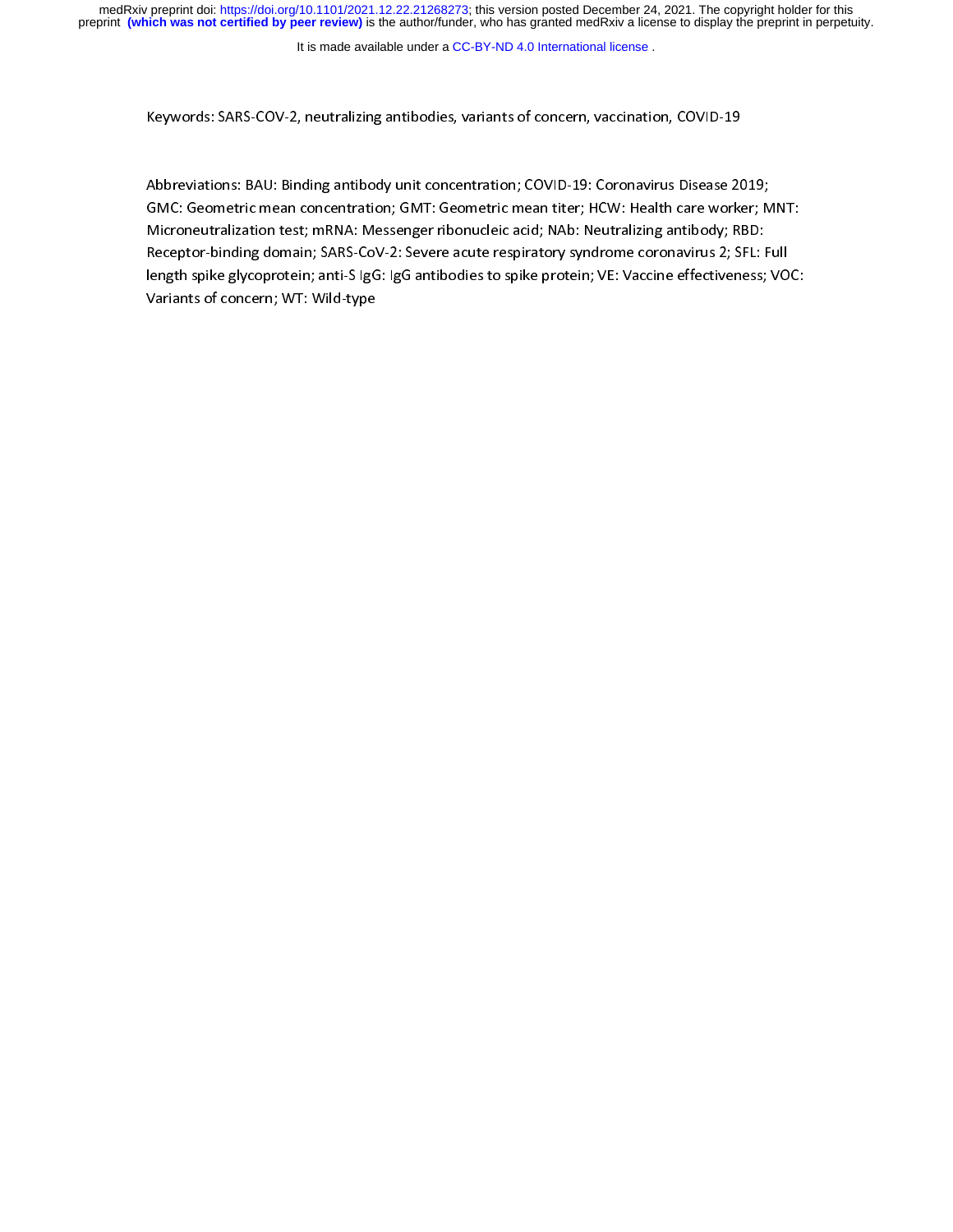It is made available under a [CC-BY-ND 4.0 International license](http://creativecommons.org/licenses/by-nd/4.0/) .

Keywords: SARS-COV-2, neutralizing antibodies, variants of concern, vaccination, COVID-19<br>Abbreviations: BAU: Binding antibody unit concentration; COVID-19: Coronavirus Disease 2019;<br>GMC: Geometric mean concentration; GMT: ノハト Abbreviations: Bautisming and teach interations: Bautismin (1999)<br>Abbreviations: BAU: Binding and the Microsofter Computer of Microneutralizing antibody; RBD:<br>Receptor-binding domain; SARS-CoV-2: Severe acute respiratory s GMC: Geometric means concern concerns mean and the MTM: Mean titler means of Microneutralization test; mRNA: Messenger ribonucleic acid; NAb: Neutralizing antibody; RBD:<br>Receptor-binding domain; SARS-CoV-2: Severe acute re Receptor-binding domain; SARS-CoV-2: Severe acute respiratory syndrome coronavirus 2; SFL: Full<br>length spike glycoprotein; anti-S IgG: IgG antibodies to spike protein; VE: Vaccine effectiveness; VO<br>Variants of concern; WT: length spike glycoprotein; anti-S IgG: IgG antibodies to spike protein; VE: Vaccine effectiveness; VOC: length spike glycoprotein; and suggerings antibodies to spike protein; VE: Vaccine effectiveness; VE: Vaccine<br>Variants of concern; WT: Wild-type  $\frac{1}{\sqrt{2}}$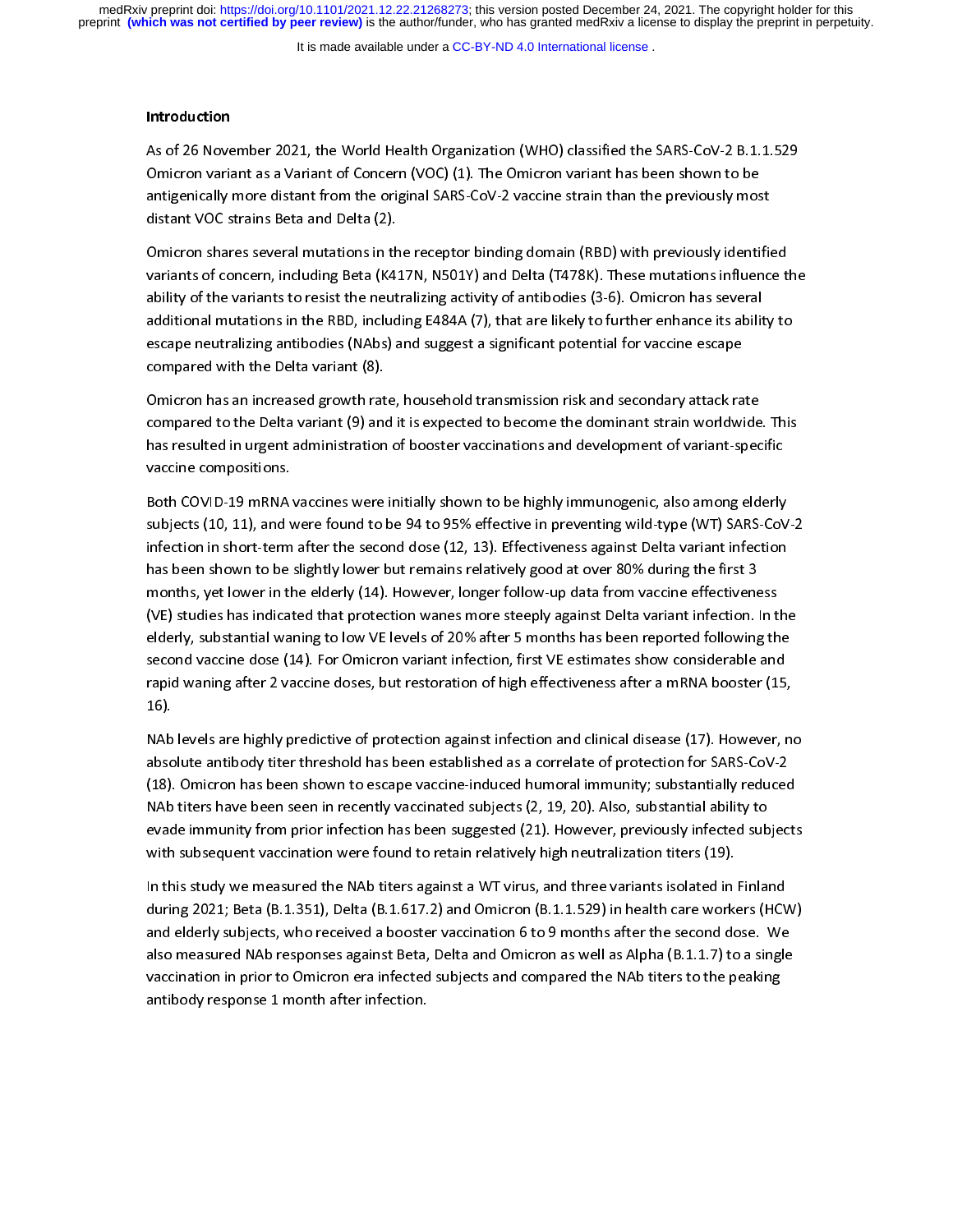It is made available under a [CC-BY-ND 4.0 International license](http://creativecommons.org/licenses/by-nd/4.0/) .

### Introduction

Omicron variant as a Variant of Concern (VOC) (1). The Omicron variant has been shown to be<br>antigenically more distant from the original SARS-CoV-2 vaccine strain than the previously most<br>distant VOC strains Beta and Delta antigenically more distant from the original SARS-CoV-2 vaccine strain than the previously mos<br>distant VOC strains Beta and Delta (2).<br>Omicron shares several mutations in the receptor binding domain (RBD) with previously i

distant VOC strains Beta and Delta (2).<br>Omicron shares several mutations in the receptor binding domain (RBD) with previously identified<br>variants of concern, including Beta (K417N, N501Y) and Delta (T478K). These mutations distant VOC strains Beta and Delta (2).<br>Omicron shares several mutations in the<br>variants of concern, including Beta (K4:<br>ability of the variants to resist the neut variants of concern, including Beta (K417N, N501Y) and Delta (T478K). These mutations influence t<br>ability of the variants to resist the neutralizing activity of antibodies (3-6). Omicron has several<br>additional mutations in variants of concern, including Beta (M1211), including and Delta (N1711), including the variants of concernsive<br>ability of the variants to resist the neutralizing activity of antibodies (3-6). Omicron has several<br>additiona additional mutations in the RBD, including E484A (7), that are likely to further enhance its abilit<br>escape neutralizing antibodies (NAbs) and suggest a significant potential for vaccine escape<br>compared with the Delta varia escape neutralizing antibodies (NAbs) and suggest a significant potential for vaccine escape<br>compared with the Delta variant (8).<br>Omicron has an increased growth rate, household transmission risk and secondary attack rate

compared with the Delta variant (8).<br>Omicron has an increased growth rate, household transmission risk and secondary attack rate<br>compared to the Delta variant (9) and it is expected to become the dominant strain worldwide. compared with the Omicron has an increased growth rat<br>Compared to the Delta variant (9) and<br>has resulted in urgent administration Compared to the Delta variant (9) and it is expected to become the dominant strain worldwide<br>has resulted in urgent administration of booster vaccinations and development of variant-spec<br>vaccine compositions. has resulted in urgent administration of booster vaccinations and development of variant-specific<br>vaccine compositions.<br>Both COVID-19 mRNA vaccines were initially shown to be highly immunogenic, also among elderly

vaccine compositions.<br>Both COVID-19 mRNA vaccines were initially shown to be highly immunogenic, also among elderly<br>subjects (10, 11), and were found to be 94 to 95% effective in preventing wild-type (WT) SARS-CoV-2 vaccine components.<br>Both COVID-19 mRNA<br>subjects (10, 11), and v<br>infection in short-term Both COVID-19 manning manning manning manning manning manning manning manning manning manning<br>subjects (10, 11), and were found to be 94 to 95% effective in preventing wild-type (WT) SARS-CoV<br>has been shown to be slightly subjects (20, 22), and were found to be 91 to be 91 to 91 to 91 to 91 to 91 to 91 to 91 to 91 to 91 to 91 to 9<br>infection in short-term after the second dose (12, 13). Effectiveness against Delta variant infection<br>has been infection in short-term after the second dose (12, 13). Effectiveness against Delta variant infection has been shown to be slightly lower but remains relatively good at over 80% during the first 3<br>months, yet lower in the elderly (14). However, longer follow-up data from vaccine effectiveness (VE) studies has indicated that protection wanes more steeply against Delta variant infection. In t<br>elderly, substantial waning to low VE levels of 20% after 5 months has been reported following th<br>second vaccine dose (14) elderly, substantial waning to low VE levels of 20% after 5 months has been reported following the second vaccine dose (14). For Omicron variant infection, first VE estimates show considerable and rapid waning after 2 vacc second vaccine dose (14). For Omicron variant infection, first VE estimates show considerable and rapid waning after 2 vaccine doses, but restoration of high effectiveness after a mRNA booster (15,<br>16).<br>NAb levels are highly predictive of protection against infection and clinical disease (17). However, no

rapid waning after 2 vacants after), but restoration of high effectivences after a minimized steep (15).<br>NAb levels are highly predictive of protection against infection and clinical disease (17). However, no<br>absolute anti ,<br>NAb<br>abso<br>(18). absolute antibody titer threshold has been established as a correlate of protection for SARS-CoV-2<br>(18). Omicron has been shown to escape vaccine-induced humoral immunity; substantially reduced<br>NAb titers have been seen in (18). Omicron has been shown to escape vaccine-induced humoral immunity; substantially reducec<br>NAb titers have been seen in recently vaccinated subjects (2, 19, 20). Also, substantial ability to<br>evade immunity from prior i ( $\overline{1}$ ). On titlers have been seen in recently vaccinated subjects (2, 19, 20). Also, substantial ability to<br>evade immunity from prior infection has been suggested (21). However, previously infected subject:<br>with subse evade immunity from prior infection has been suggested (21). However, previously infected sub<br>with subsequent vaccination were found to retain relatively high neutralization titers (19).<br>In this study we measured the NAb t

with subsequent vaccination were found to retain relatively high neutralization titers (19).<br>In this study we measured the NAb titers against a WT virus, and three variants isolated in Finland<br>during 2021: Beta (B.1.351). with subsequent vacuum in the found to retain relatively high neutralization were (22).<br>In this study we measured the NAb titers against a WT virus, and three variants isolated in<br>during 2021; Beta (B.1.351), Delta (B.1.61 In this study we measured the NAB titlers against a WT with NAB (B.1.1.529) in health care workers (HCV) and elderly subjects, who received a booster vaccination 6 to 9 months after the second dose. We also measured NAb re and elderly subjects, who received a booster vaccination 6 to 9 months after the second dose. We<br>also measured NAb responses against Beta, Delta and Omicron as well as Alpha (B.1.1.7) to a single<br>vaccination in prior to Om also measured NAb responses against Beta, Delta and Omicron as well as Alpha (B.1.1.7) to a single<br>vaccination in prior to Omicron era infected subjects and compared the NAb titers to the peaking<br>antibody response 1 month vaccination in prior to Omicron era infected subjects and compared the NAb titers to the peaking<br>antibody response 1 month after infection. vantibody response 1 month after infection.<br>
and compared subjects and compared the peaking of peaking of peaking of peaking of peaking of peaking of peak<br>
and the peaking of peaking of peaking of peaking of peaking of pea antibody response 1 month after infection.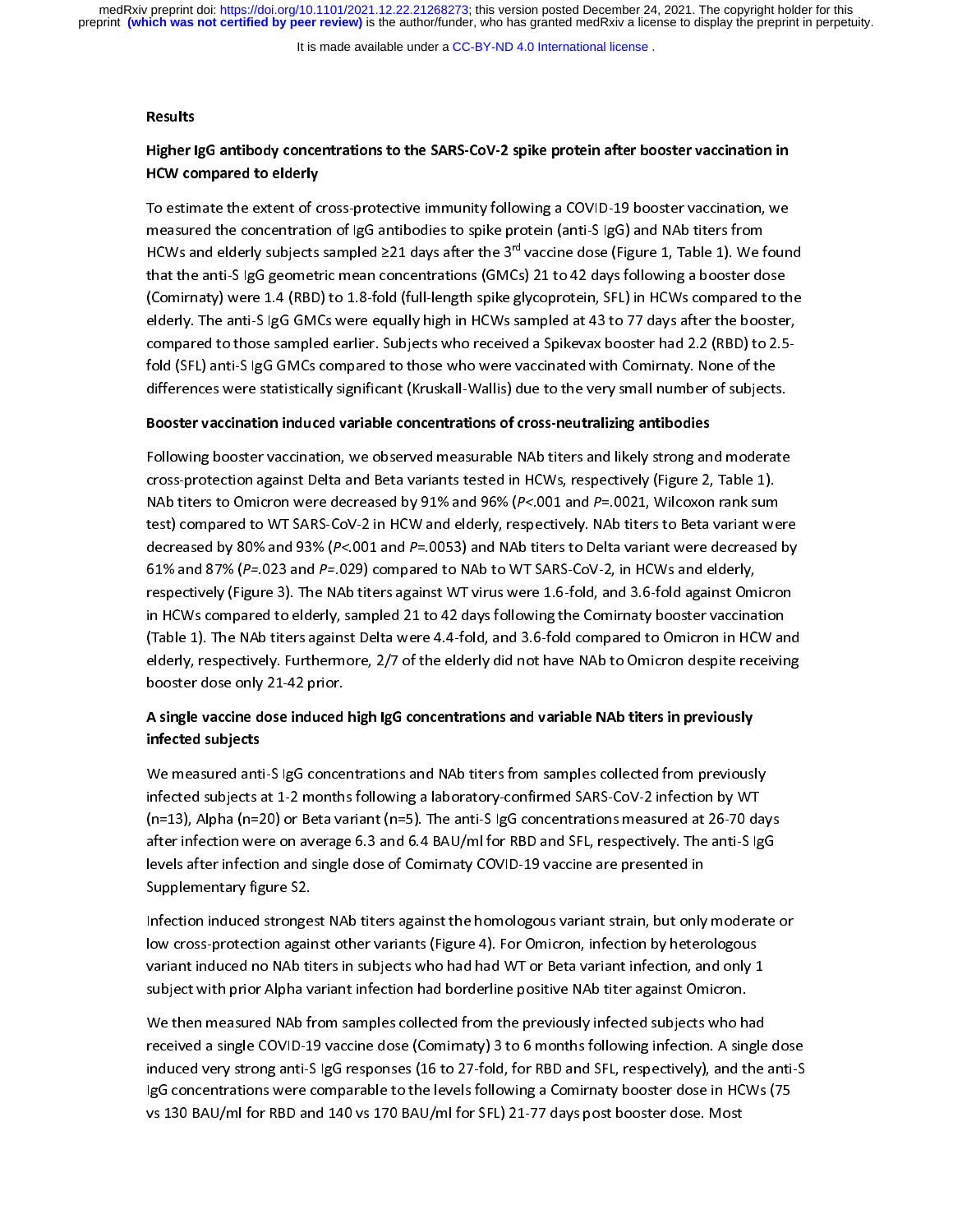It is made available under a [CC-BY-ND 4.0 International license](http://creativecommons.org/licenses/by-nd/4.0/) .

## Results<br>Higher I<br>HCW co Higher IgG antibody concentrations to the SARS-CoV-2 spike protein after booster vaccination in HCW compared to elderly

To estimate the extent of the extent of the extent of the protein (anti-S IgG) and NAb titers from<br>HCWs and elderly subjects sampled  $\geq$ 21 days after the 3<sup>rd</sup> vaccine dose (Figure 1, Table 1). We foun<br>that the anti-S Ig measured the concentration of IgG and the concentration of IgG and the concentration of IGWs and elderly subjects sampled  $\geq$ 21 days after the 3<sup>rd</sup> vaccine dose (Figure 1, Table 1). We f<br>that the anti-S IgG geometric me HCWs and elderly subjects sampled ≥21 days after the 3<sup>ra</sup> vaccine dose (Figure 1, Table 1). We found<br>that the anti-S IgG geometric mean concentrations (GMCs) 21 to 42 days following a booster dose<br>(Comirnaty) were 1.4 (R that the anti-S IgG geometric mean-following the anti-S I and y the anti-S in HCWs compared to the elderly. The anti-S IgG GMCs were equally high in HCWs sampled at 43 to 77 days after the booster compared to those sampled (elderly. The anti-S IgG GMCs were equally high in HCWs sampled at 43 to 77 days after the booster,<br>compared to those sampled earlier. Subjects who received a Spikevax booster had 2.2 (RBD) to 2.5-<br>fold (SFL) anti-S IgG GM ompared to those sampled earlier. Subjects who received a Spikevax booster had 2.2 (RBD) to 2.5-<br>fold (SFL) anti-S IgG GMCs compared to those who were vaccinated with Comirnaty. None of the<br>differences were statistically s fold (SFL) anti-S IgG GMCs compared to those who were vaccinated with Comirnaty. None of the differences were statistically significant (Kruskall-Wallis) due to the very small number of subjects.

### Booster vaccination induced variable concentrations of cross-neutralizing antibodies

Following booster vaccination, we observed measurable NAb titers and likely strong and moderate cross-protection against Delta and Beta variants tested in HCWs, respectively (Figure 2, Table 1).<br>NAb titers to Omicron were decreased by 91% and 96% (*P<*.001 and *P*=.0021, Wilcoxon rank sum<br>test) compared to WT SARS-Co cross-protection against Delta and Delta Minimi Protection Apple Dirty (Figure 2, Table 2, Table 2, Nickel 2, N<br>The Magnetics compared to WT SARS-CoV-2 in HCW and elderly, respectively. NAb titers to Beta variant we<br>decrea NAB TO COMPARE CONSULTED THE MADE THE MADE TRIP OF THE MADE TRIP OF THE MADE TRIP OF THE MEST (PER DECREASED MA<br>decreased by 80% and 93% (P<.001 and P=.0053) and NAb titers to Delta variant were decreased<br>61% and 87% (P=.0 test, sumper such that the WT Saramon and the University, respectively. The asset of the decreased by a decreased by  $61\%$  and  $87\%$  ( $P=023$  and  $P=029$ ) compared to NAb to WT SARS-CoV-2, in HCWs and elderly, respective decreased by 80% and 83% (P. 1892 and P. 1892) and This Theoreton Burdentum Theoreton ay<br>61% and 87% (P=.023 and P=.029) compared to NAb to WT SARS-CoV-2, in HCWs and elderly,<br>respectively (Figure 3). The NAb titers agains For and 87% (Piezz and Piezz) computed to the CoVI-2 mini-1023 and 3.6-fold against Om<br>in HCWs compared to elderly, sampled 21 to 42 days following the Comirnaty booster vaccina<br>(Table 1). The NAb titers against Delta were in HCWs compared to elderly, sampled 21 to 42 days following the Comirnaty booster vaccination<br>(Table 1). The NAb titers against Delta were 4.4-fold, and 3.6-fold compared to Omicron in HCW are elderly, respectively. Furth (Table 1). The NAb titers against Delta were 4.4-fold, and 3.6-fold compared to Omicron in HCW and elderly, respectively. Furthermore, 2/7 of the elderly did not have NAb to Omicron despite receiving

### booster dose only 21-42 prior.<br>A single vaccine dose induced high IgG concentrations and variable NAb titers in previously<br>infected subiects and in the state of the state of the state of the state of the state of the state of the state of the state of<br>Infected subjects A single vaccine dose induced high IgG concentrations and variable NAb titers in previously infected subjects

We measured anti-S IgG concentrations and NAb titers from samples collected from previously<br>infected subjects at 1-2 months following a laboratory-confirmed SARS-CoV-2 infection by WT<br>(n=13), Alpha (n=20) or Beta variant ( (n=13), Alpha (n=20) or Beta variant (n=5). The anti-S IgG concentrations measured at 26-70 days<br>after infection were on average 6.3 and 6.4 BAU/ml for RBD and SFL, respectively. The anti-S IgG<br>levels after infection and s (n=2), Alpha (n=2) or Beta variant (n=5). The anti-S IgO concentration in the alternative at 26-70 days<br>after infection were on average 6.3 and 6.4 BAU/ml for RBD and SFL, respectively. The anti-S IgG<br>levels after infectio after infection and single dose of Comirnaty COVID-19 vaccine are presented in<br>Supplementary figure S2.<br>Infection induced strongest NAb titers against the homologous variant strain, but only moderate

Infection induced strongest NAb titers against the homologous variant strain, but only moderate or<br>low cross-protection against other variants (Figure 4). For Omicron, infection by heterologous Supplementary<br>Infection induced stronge<br>Iow cross-protection agair<br>Variant induced no NAb tit Iow cross-protection against other variants (Figure 4). For Omicron, infection by heterologous<br>variant induced no NAb titers in subjects who had had WT or Beta variant infection, and only 1<br>subject with prior Alpha variant variant induced no NAb titers in subjects who had had WT or Beta variant infection, and only 1<br>Subject with prior Alpha variant infection had borderline positive NAb titer against Omicron.<br>We then measured NAb from samples

subject with prior Alpha variant infection had borderline positive NAb titer against Omicron.<br>We then measured NAb from samples collected from the previously infected subjects who had<br>received a single COVID-19 vaccine dos subsection<br>We then measured NAb from samples collected from the previously infected subjects who h<br>Induced very strong anti-S IgG responses (16 to 27-fold, for RBD and SFL, respectively), and tit The measured and the number of the therm measured protected, interesting the measured and single<br>induced very strong anti-S IgG responses (16 to 27-fold, for RBD and SFL, respectively), and the<br>IgG concentrations were comp induced very strong anti-S IgG responses (16 to 27-fold, for RBD and SFL, respectively), and the anti-S<br>IgG concentrations were comparable to the levels following a Comirnaty booster dose in HCWs (75<br>vs 130 BAU/mI for RBD IgG concentrations were comparable to the levels following a Comirnaty booster dose in HCWs (75) vs 130 BAU/ml for RBD and 140 vs 170 BAU/ml for SFL) 21-77 days post booster dose. Most vs 130 BAU/ml for RBD and 140 vs 170 BAU/ml for SFL) 21-77 days post booster dose. Most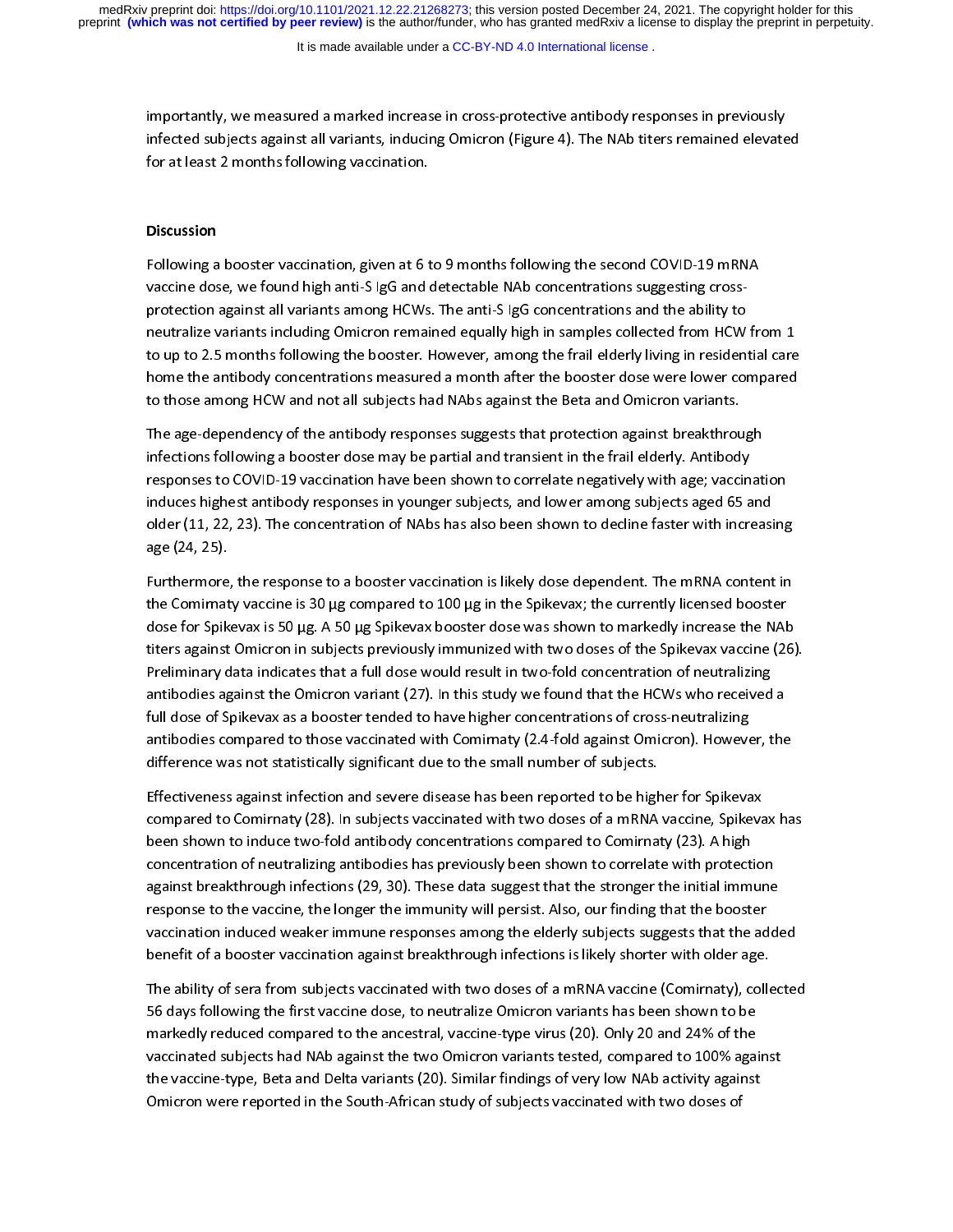It is made available under a [CC-BY-ND 4.0 International license](http://creativecommons.org/licenses/by-nd/4.0/) .

importantly, we measured a marked increase in cross-protective antibody responses in previously<br>infected subjects against all variants, inducing Omicron (Figure 4). The NAb titers remained elevated<br>for at least 2 months fo for at least 2 months following vaccination.<br> $\frac{1}{2}$ 

# for at least 2 months following vacancel in<br>Discussion Discussion

|<br>|<br>| Following a booster vaccine dose, we found high anti-S IgG and detectable NAb concentrations suggesting cross-<br>protection against all variants among HCWs. The anti-S IgG concentrations and the ability to<br>neutralize variant  $\omega$  ap to 2.5 months following the booster. However, among the nan eluchy living in resident protection against all variants anong terms in the anti-s ignormalized and the anti-s and y re-<br>neutralize variants including Omicron remained equally high in samples collected from HCW<br>to up to 2.5 months following the bo to up to 2.5 months following the booster. However, among the frail elderly living in residential care<br>home the antibody concentrations measured a month after the booster dose were lower compared<br>to those among HCW and not home the antibody concentrations measured a month after the booster dose were lower compared

to those among HCW and not all subjects had NAbs against the Beta and Omicron variants.<br>The age-dependency of the antibody responses suggests that protection against breakthroug<br>infections following a booster dose may be p The age-dependency of the antibody responses suggests that protection against breakthrough The agency of the allowing a booster dose may be partial and transient in the frail elderly. Antibody<br>The apponses to COVID-19 vaccination have been shown to correlate negatively with age; vaccinat<br>Induces highest antibody infections following a booster dose may be partial and transient in the frail election, responses to COVID-19 vaccination have been shown to correlate negatively with age; vaccininduces highest antibody responses in younge responses to COVID-19 vacant material to COVID-19 vacant in graves, and with all speaking induces highest antibody responses in younger subjects, and lower among subjects aged 65 and older (11, 22, 23). The concentration o induces ingular and the procentration of NAbs has also been shown to decline faster with increasingle (24, 25).<br>age (24, 25).<br>Furthermore, the response to a booster vaccination is likely dose dependent. The mRNA content

older (11, 22, 23). The concentration of NAbs has also been shown to decline faster with increasing age (24, 25).<br>Furthermore<br>the Comirnat<br>dose for Spik Furthermore, the response to a booking the response to a booking the Cominaty vaccine is 30 µg compared to 100 µg in the Spikevax; the currently licensed booster dose for Spikevax is 50 µg. A 50 µg Spikevax booster dose wa the Community vacance of <sub>Fig</sub> compared to 200 <sub>Fig</sub> in the Spiral Community increase the NAR<br>dose for Spikevax is 50 µg. A 50 µg Spikevax booster dose was shown to markedly increase the NAR<br>Preliminary data indicates that titers against Omicron in subjects previously immunized with two doses of the Spikevax vaccine (26).<br>Preliminary data indicates that a full dose would result in two-fold concentration of neutralizing<br>antibodies against the the limit of the Christian in subjects previously interacted with the Christman in spin-the Christman prediminary<br>definition in subjects against the Omicron variant (27). In this study we found that the HCWs who received a Premium, and minimizing material and the minimizing antibodies against the Omicron variant (27). In this study we found that the HCWs who received<br>full dose of Spikevax as a booster tended to have higher concentrations of full dose of Spikevax as a booster tended to have higher concentrations of cross-neutralizing<br>antibodies compared to those vaccinated with Comirnaty (2.4-fold against Omicron). However, the<br>difference was not statistically antibodies compared to those vaccinated with Comirnaty (2.4-fold against Omicron). However, the difference was not statistically significant due to the small number of subjects.<br>Effectiveness against infection and severe d

difference was not statistically significant due to the small number of subjects.<br>Effectiveness against infection and severe disease has been reported to be higher for Spikevax<br>compared to Comirnaty (28). In subiects vacci diffectiveness against infection and severe disease has been reported to be high<br>compared to Comirnaty (28). In subjects vaccinated with two doses of a mRNA<br>been shown to induce two-fold antibody concentrations compared to compared to Comirnaty (28). In subjects vaccinated with two doses of a mRNA vaccine, Spikeva<br>been shown to induce two-fold antibody concentrations compared to Comirnaty (23). A high<br>concentration of neutralizing antibodies compared to Community (29). In subjects vacancies manimized with a manimization spike with the seen shown to induce two-fold antibody concentrations compared to Comirnaty (23). A high concentration of neutralizing antibodi been shown to induce the shown to concentration of neutralizing antibodies has previously been shown to correlate with protecting antibodies has previously been shown to correlate with protecting antibodies from the strong against breakthrough infections (29, 30). These data suggest that the stronger the initial immune<br>response to the vaccine, the longer the immunity will persist. Also, our finding that the booster against breakthrough infections (29, 30). These and suggest that the stronger incumum municipal response to the vaccine, the longer the immunity will persist. Also, our finding that the booster vaccination induced weaker i response to the vacuum meaning tend into the personalized pair manning that the advancination induced weaker immune responses among the elderly subjects suggests that the advance<br>benefit of a booster vaccination against br

benefit of a booster vaccination against breakthrough infections is likely shorter with older age.<br>The ability of sera from subjects vaccinated with two doses of a mRNA vaccine (Comirnaty), colle<br>56 days following the firs The ability of sera from subjects vaccinated with two doses of a mRNA vaccine (Comirnaty), collected markedly reduced compared to the ancestral, vaccine-type virus (20). Only 20 and 24% of the<br>vaccinated subjects had NAb against the two Omicron variants tested, compared to 100% against the vaccine-type, Beta and Delta variants (20). Similar findings of very low NAb activity against markedly reduced compared to the ancestral, vacancely prother (20). The ancestral expression vaccinated subjects had NAb against the two Omicron variants tested, compared to 100% against<br>the vaccine-type, Beta and Delta va vacuated subjects had not against the two Omicinated Certer, compared to 200% against<br>the vaccine-type, Beta and Delta variants (20). Similar findings of very low NAb activity against<br>Omicron were reported in the South-Afr the vacance-type, Beta and Delta variants (20). Similar manage of very low nade very, against<br>Omicron were reported in the South-African study of subjects vaccinated with two doses of Omicron were reported in the South-African study of subjects vaccinated with two doses of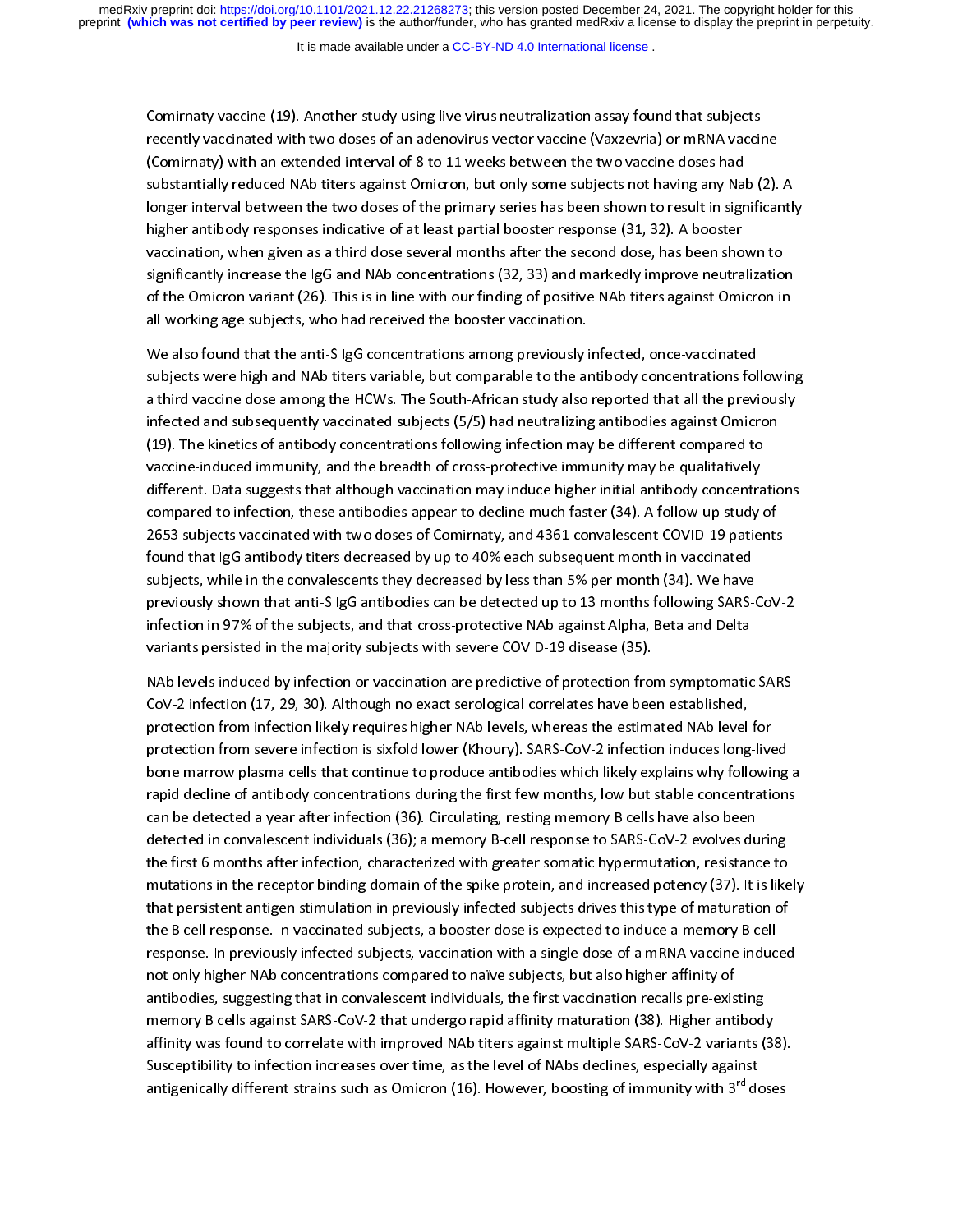It is made available under a [CC-BY-ND 4.0 International license](http://creativecommons.org/licenses/by-nd/4.0/) .

Comirnaty vaccine (19). Another study using live virus neutralization assay found that subjects<br>recently vaccinated with two doses of an adenovirus vector vaccine (Vaxzevria) or mRNA vaccine<br>(Comirnaty) with an extended in (Comirnaty) with an extended interval of 8 to 11 weeks between the two vaccine doses had<br>substantially reduced NAb titers against Omicron, but only some subjects not having any Nab (2).<br>longer interval between the two dose .<br>substantially reduced NAb titers against Omicron, but only some subjects not having any Nal<br>longer interval between the two doses of the primary series has been shown to result in sigr<br>higher antibody responses indicativ ionger interval between the two doses of the primary series has been shown to result in significantly<br>higher antibody responses indicative of at least partial booster response (31, 32). A booster<br>vaccination, when given as higher antibody responses indicative of at least partial booster response (31, 32). A booster<br>vaccination, when given as a third dose several months after the second dose, has been shown to<br>significantly increase the IgG a vaccination, when given as a third dose several months after the second dose, has been sho<br>significantly increase the IgG and NAb concentrations (32, 33) and markedly improve neutra<br>of the Omicron variant (26). This is in significantly increase the IgG and NAb concentrations (32, 33) and markedly improve neutralizatio<br>of the Omicron variant (26). This is in line with our finding of positive NAb titers against Omicron ir<br>all working age subj symmetry, increase the IgO and NAB concentrations (32, 33) and mathedly improve neutral marked<br>of the Omicron variant (26). This is in line with our finding of positive NAb titers against Omicron in<br>all working age subject

of the Omicron variant (26). This is in line with our finding of positive the Arche Symbological<br>all working age subjects, who had received the booster vaccination.<br>Subjects were high and NAb titers variable, but comparabl all working and that the anti-S IgG concentrations among previously in Subjects were high and NAb titers variable, but comparable to the and NAb titers variable, but comparable to the and NAb titers variable, but comparabl subjects were high and NAb titers variable, but comparable to the antibody concentrations fol<br>a third vaccine dose among the HCWs. The South-African study also reported that all the previ<br>infected and subsequently vaccinat subjects were doen among the HCWs. The South-African study also reported that all the previously<br>infected and subsequently vaccinated subjects (5/5) had neutralizing antibodies against Omicron<br>(19). The kinetics of antibod infected and subsequently vaccinated subjects (5/5) had neutralizing antibodies against Omicron<br>(19). The kinetics of antibody concentrations following infection may be different compared to<br>vaccine-induced immunity, and t infective and subsequently vacantizing and subject (5/5) had neutralizing and subsequent someoned to<br>vaccine-induced immunity, and the breadth of cross-protective immunity may be qualitatively<br>different. Data suggests that ,<br>vaccine-induced immunity, and the breadth of cross-protective immunity may be qualitatively<br>different. Data suggests that although vaccination may induce higher initial antibody concentra<br>compared to infection, these ant different. Data suggests that although vaccination may induce higher initial antibody concentra<br>compared to infection, these antibodies appear to decline much faster (34). A follow-up study<br>2653 subjects vaccinated with tw different. Data suggests that although vacantization, matter higher initial antibody compared to infection, these antibodies appear to decline much faster (34). A follow-up study of 2653 subjects vaccinated with two doses compared to inferred to inferred the separation of the much faster (34). The separation of 2653 subjects vaccinated with two doses of Comirnaty, and 4361 convalescent COVID-19 patients<br>found that IgG antibody titers decrea found that IgG antibody titers decreased by up to 40% each subsequent month in vaccinated<br>subjects, while in the convalescents they decreased by less than 5% per month (34). We have<br>previously shown that anti-S IgG antibod found that IgG and the Convalence of the Convertion of the Subjects, while in the convalescents they decreased by less than 5% per month (34). We have<br>previously shown that anti-S IgG antibodies can be detected up to 13 mo subjects, while in the convancement they decreased by reconvalence por months following SARS-<br>previously shown that anti-S IgG antibodies can be detected up to 13 months following SARS-<br>infection in 97% of the subjects, an previously shown that and any parameters can be detected up to 2 months following show our infection in 97% of the subjects, and that cross-protective NAb against Alpha, Beta and Delta<br>variants persisted in the majority su

variants persisted in the majority subjects with severe COVID-19 disease (35).<br>NAb levels induced by infection or vaccination are predictive of protection from symptomatic<br>CoV-2 infection (17, 29, 30). Although no exact se variants persisted in the majority of the majority of the majority of the majority of the majority of the major<br>19 CoV-2 infection (17, 29, 30). Although no exact serological correlates have bee<br>19 protection from infectio protection from severe infection is sixfold lower (Khoury). SARS-CoV-2 infection induces long-lived<br>bone marrow plasma cells that continue to produce antibodies which likely explains why following a protection from infection likely requires higher NAb levels, whereas the estimated NAb level for protection from severe infection is sixfold lower (Khoury). SARS-CoV-2 infection induces long-live<br>bone marrow plasma cells that continue to produce antibodies which likely explains why followir<br>rapid decline of antibody c protection from several measurements of the main protection induces the minimizer and point<br>bone marrow plasma cells that continue to produce antibodies which likely explains why following<br>rapid decline of antibody concent rapid decline of antibody concentrations during the first few months, low but stable concentrations<br>can be detected a year after infection (36). Circulating, resting memory B cells have also been<br>detected in convalescent i can be detected a year after infection (36). Circulating, resting memory B cells have also been<br>detected in convalescent individuals (36); a memory B-cell response to SARS-CoV-2 evolves during<br>the first 6 months after infe detected in convalescent individuals (36); a memory B-cell response to SARS-CoV-2 evolves du<br>the first 6 months after infection, characterized with greater somatic hypermutation, resistand<br>mutations in the receptor binding the first 6 months after infection, characterized with greater somatic hypermutation, resistance to<br>mutations in the receptor binding domain of the spike protein, and increased potency (37). It is like<br>that persistent anti mutations in the receptor binding domain of the spike protein, and increased potency (37). It is likely<br>that persistent antigen stimulation in previously infected subjects drives this type of maturation of<br>the B cell respo that persistent antigen stimulation in previously infected subjects drives this type of maturation of the B cell response. In vaccinated subjects, a booster dose is expected to induce a memory B cell<br>response. In previously infected subjects, vaccination with a single dose of a mRNA vaccine induced<br>not only higher NAb conc response. In previously infected subjects, vaccination with a single dose of a mRNA vaccine induc<br>not only higher NAb concentrations compared to naïve subjects, but also higher affinity of<br>antibodies, suggesting that in co not only higher NAb concentrations compared to naïve subjects, but also higher affinity of<br>antibodies, suggesting that in convalescent individuals, the first vaccination recalls pre-existing<br>memory B cells against SARS-CoV not only higher that concentrations compared to narrow only contration recalls pre-exist<br>antibodies, suggesting that in convalescent individuals, the first vaccination recalls pre-exis<br>memory B cells against SARS-CoV-2 tha antibodies, suggesting that in convalent in antibodies, the first vacanties of the first vaccination (38). Higher antibodies affinity was found to correlate with improved NAb titers against multiple SARS-CoV-2 variants (<br>S affinity was found to correlate with improved NAb titers against multiple SARS-CoV-2 variants (38)<br>Susceptibility to infection increases over time, as the level of NAbs declines, especially against<br>antigenically different affinity was found to contract the improved numerological multiple state for a candidate position of Susceptibility to infection increases over time, as the level of NAbs declines, especially against antigenically differen Susceptibility to infect the level of the level of the level of NABS declines, especially different strains such as Omicron (16). However, boosting of immunity with 3<sup>rd</sup> dentified to the NABS declines. antigenically different strains such as Omicron (16). However, boosting of immunity with 3<sup>rd</sup> doses<br>antigenically different strains such as Omicron (16). However, boosting of immunity with 3<sup>rd</sup> doses<br>.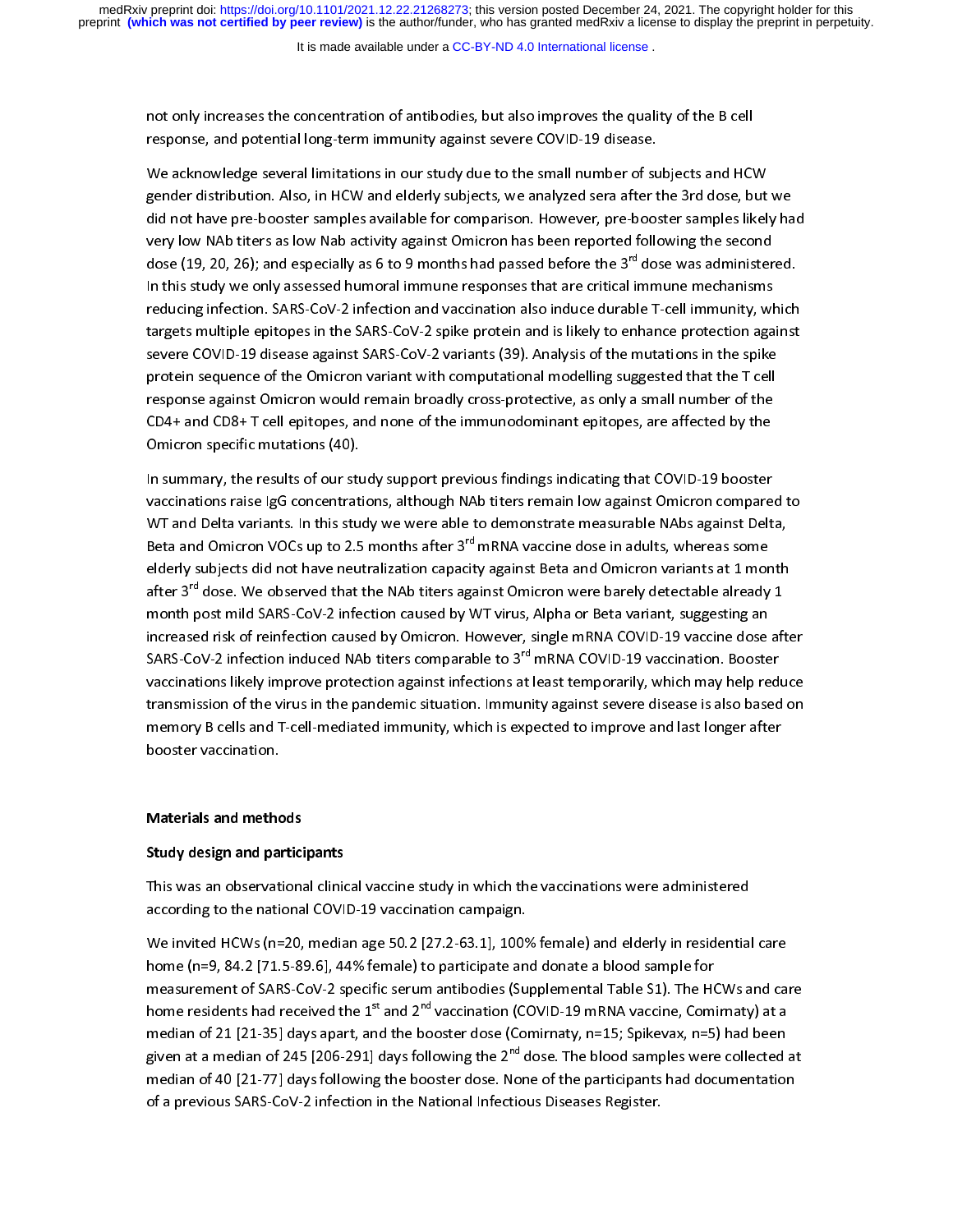not only increases the concentration of antibodies, but also improves the quality of the B cell<br>response, and potential long-term immunity against severe COVID-19 disease.<br>We acknowledge several limitations in our study du

response, and potential long-term immunity against severe COVID-19 disease.<br>We acknowledge several limitations in our study due to the small number of su<br>gender distribution. Also, in HCW and elderly subjects, we analyzed gender distribution. Also, in HCW and elderly subjects, we analyzed sera after the 3rd dose, but<br>did not have pre-booster samples available for comparison. However, pre-booster samples likel<br>very low NAb titers as low Nab gender distribution. Also, in the station, educy, in this period server and the station of did not have pre-booster samples available for comparison. However, pre-booster samples likely have<br>very low NAb titers as low Nab did not have pre-booster samples available for comparison interest, pre-booster samples likely have prey low NAb titers as low Nab activity against Omicron has been reported following the second<br>dose (19, 20, 26); and espe very remain the remains and the second term of a second dose (19, 20, 26); and especially as 6 to 9 months had passed before the 3<sup>rd</sup> dose was administer<br>In this study we only assessed humoral immune responses that are cr dose (19, 20, 26); and especially as 6 to 9 months had passed before the 3<sup>rd</sup> dose was administered.<br>In this study we only assessed humoral immune responses that are critical immune mechanisms<br>reducing infection. SARS-CoV In this study we can allow the this study and the study of the third in the study of the studies reducing infection. SARS-CoV-2 infection and vaccination also induce durable T-cell immunity, where the SARS-CoV-2 spike prot targets multiple epitopes in the SARS-CoV-2 spike protein and is likely to enhance protection against<br>severe COVID-19 disease against SARS-CoV-2 variants (39). Analysis of the mutations in the spike<br>protein sequence of the severe COVID-19 disease against SARS-CoV-2 variants (39). Analysis of the mutations in the spike protein sequence of the Omicron variant with computational modelling suggested that the T cell<br>response against Omicron would remain broadly cross-protective, as only a small number of the<br>CD4+ and CD8+ T cell epitopes, an protes a sequence of the Omicron would remain broadly cross-protective, as only a small number of the CD4+ and CD8+ T cell epitopes, and none of the immunodominant epitopes, are affected by the Omicron specific mutations ( responsive and CD8+ T cell epitopes, and none of the immunodominant epitopes, are affected by the<br>Omicron specific mutations (40).<br>In summary, the results of our study support previous findings indicating that COVID-19 boo

Omicron specific mutations (40).<br>In summary, the results of our study support previous findings indicating that COVID-19 booster<br>Vaccinations raise IgG concentrations, although NAb titers remain low against Omicron compare omicron point in the matrice (40).<br>In summary, the results of our studient<br>WT and Delta variants. In this stu Vaccinations raise IgG concentrations, although NAb titers remain low against Omicron compare<br>WT and Delta variants. In this study we were able to demonstrate measurable NAbs against Delt<br>Beta and Omicron VOCs up to 2.5 mo WT and Delta variants. In this study we were able to demonstrate measurable NAbs against Delta,<br>Beta and Omicron VOCs up to 2.5 months after 3<sup>rd</sup> mRNA vaccine dose in adults, whereas some<br>elderly subjects did not have neu Beta and Omicron VOCs up to 2.5 months after 3<sup>rd</sup> mRNA vaccine dose in adults, whereas some<br>elderly subjects did not have neutralization capacity against Beta and Omicron variants at 1 month<br>after 3<sup>rd</sup> dose. We observed Beta and Omicron VOCs up to 2.5 months after 3<sup>er</sup> mRNA vaccine dose in adults, whereas some<br>elderly subjects did not have neutralization capacity against Beta and Omicron variants at 1 mor<br>after 3<sup>rd</sup> dose. We observed th elderly subjects and the NAD titlers against Omicron were barely detectable already 1<br>month post mild SARS-CoV-2 infection caused by WT virus, Alpha or Beta variant, suggesting an<br>increased risk of reinfection caused by Om after 3<sup>er</sup> dose. We observed that the NAb titers against Omicron were barely detectable already 1<br>month post mild SARS-CoV-2 infection caused by WT virus, Alpha or Beta variant, suggesting an<br>increased risk of reinfection increased risk of reinfection caused by Omicron. However, single mRNA COVID-19 vaccine dose<br>SARS-CoV-2 infection induced NAb titers comparable to 3<sup>rd</sup> mRNA COVID-19 vaccination. Booste<br>vaccinations likely improve protecti SARS-CoV-2 infection induced NAb titers comparable to 3<sup>rd</sup> mRNA COVID-19 vaccination. Booster<br>vaccinations likely improve protection against infections at least temporarily, which may help reduce<br>transmission of the virus vaccinations likely improve protection against infections at least temporarily, which may help reduce<br>transmission of the virus in the pandemic situation. Immunity against severe disease is also based on<br>memory B cells and vacuum the temporarily improve protection against interactions at least temporating, inference, the product te<br>transmission of the virus in the pandemic situation. Immunity against severe disease is also based on<br>memory B the memory B cells and T-cell-mediated immunity, which is expected to improve and last longer after<br>booster vaccination.<br>Disease is also based on the province and last longer after after the postmemory B call-mediated immunity, which is expected to improve and larger after booster vaccination.

# **Materials and methods**  $\frac{1}{2}$

### Study design and participants

Materials and methods<br>Study design and partici<br>This was an observation This was an observational clinical vaccine study in which the vaccinations were administered<br>according to the national COVID-19 vaccination campaign.<br>We invited HCWs (n=20, median age 50.2 [27.2-63.1], 100% female) and eld

home (n=9, 84.2 [71.5-89.6], 44% female) to participate and donate a blood sample for<br>measurement of SARS-CoV-2 specific serum antibodies (Supplemental Table S1). The HCWs and care home (n=9, 84.2 [71.5-89.6], 44% female) to participate and donate a blood sample for<br>measurement of SARS-CoV-2 specific serum antibodies (Supplemental Table S1). The HCWs and ca<br>home residents had received the 1<sup>st</sup> and 2 measurement of SARS-CoV-2 specific serum antibodies (Supplemental Table S1). The HC<br>home residents had received the 1<sup>st</sup> and 2<sup>nd</sup> vaccination (COVID-19 mRNA vaccine, Comi<br>median of 21 [21-35] days apart, and the booster measurement of State of Supplemental Computer (Supplemental Table S1), the HCTC and<br>home residents had received the 1<sup>st</sup> and 2<sup>nd</sup> vaccination (COVID-19 mRNA vaccine, Comirnaty) at a<br>given at a median of 245 [206-291] day home residents had received the 1<sup>11</sup> and 2<sup>11</sup> Vaccination (COVID-19 mRNA vaccine, Comirnaty) at a<br>median of 21 [21-35] days apart, and the booster dose (Comirnaty, n=15; Spikevax, n=5) had been<br>given at a median of 245 [ median of 21 [21-35] days following the  $2^{nd}$  dose. The blood samples were collected median of 40 [21-77] days following the booster dose. None of the participants had documentation of a previous SARS-CoV-2 infection in median of 40 [21-77] days following the booster dose. None of the participants had documentation of a previous SARS-CoV-2 infection in the National Infectious Diseases Register. of a previous SARS-CoV-2 infection in the National Infectious Diseases Register.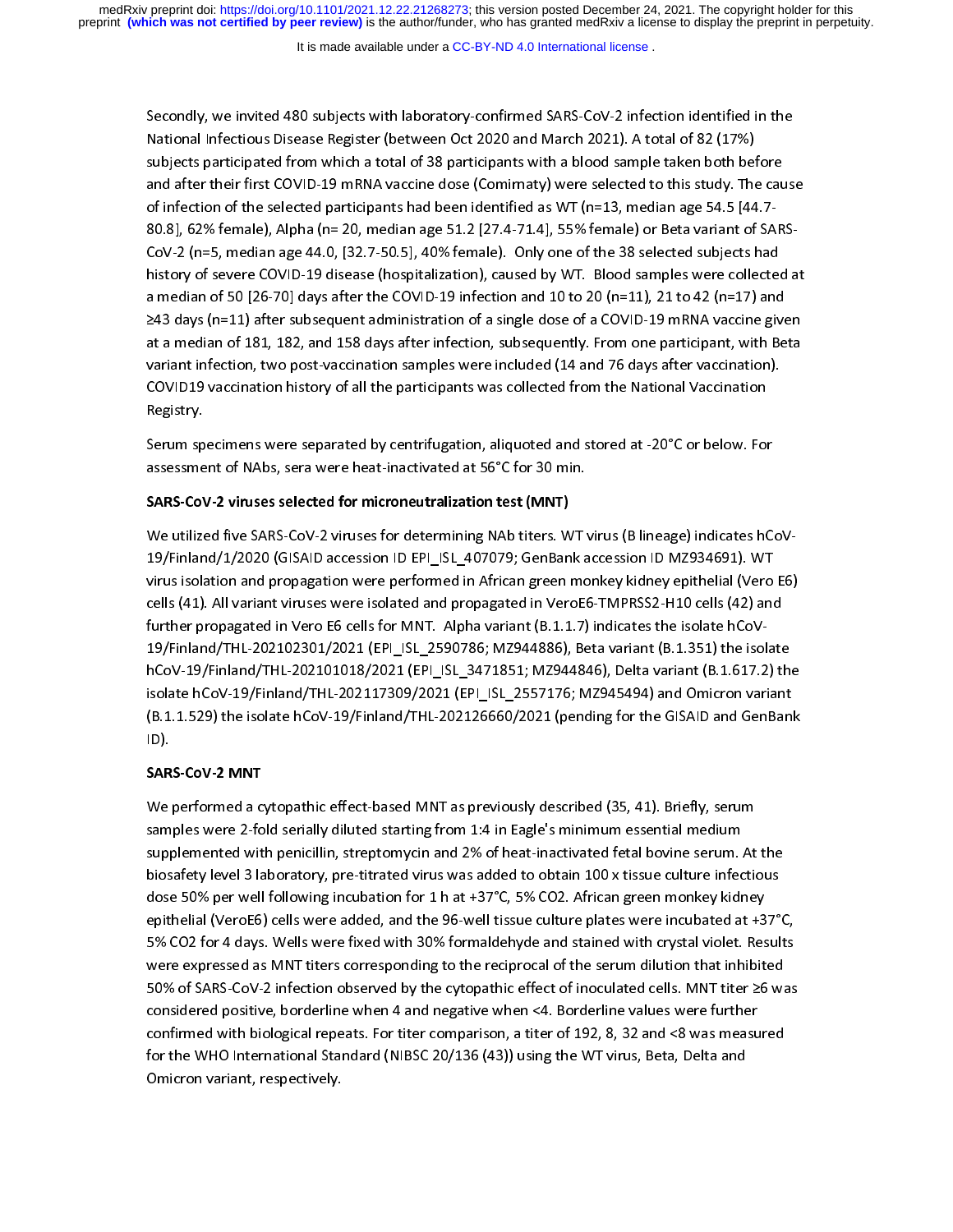It is made available under a [CC-BY-ND 4.0 International license](http://creativecommons.org/licenses/by-nd/4.0/) .

National Infectious Disease Register (between Oct 2020 and March 2021). A total of 82 (17%)<br>subjects participated from which a total of 38 participants with a blood sample taken both before<br>and after their first COVID-19 m subjects participated from which a total of 38 participants with a blood sample taken both bet<br>and after their first COVID-19 mRNA vaccine dose (Comirnaty) were selected to this study. The<br>of infection of the selected part and after their first COVID-19 mRNA vaccine dose (Comirnaty) were selected to this study. The cau<br>of infection of the selected participants had been identified as WT (n=13, median age 54.5 [44.7-<br>80.8], 62% female), Alpha of infection of the selected participants had been identified as WT (n=13, median age 54.5 [44.7-<br>80.8], 62% female), Alpha (n= 20, median age 51.2 [27.4-71.4], 55% female) or Beta variant of SARS-<br>CoV-2 (n=5, median age 4 80.8], 62% female), Alpha (n= 20, median age 51.2 [27.4-71.4], 55% female) or Beta variant of SA<br>CoV-2 (n=5, median age 44.0, [32.7-50.5], 40% female). Only one of the 38 selected subjects had<br>history of severe COVID-19 d a median of 50 [26-70] days after the COVID-19 infection and 10 to 20 (n=11), 21 to 42 (n=17) and<br>≥43 days (n=11) after subsequent administration of a single dose of a COVID-19 mRNA vaccine given CoV-2 (n=5, median age 44.0, [32.7-50.5], 40% female). Only one of the 38 selected subjects had http://www.formation.com/interacted at the COVID-19 infection and 10 to 20 (n=11), 21 to 42 (n=17) and<br>
243 days (n=11) after subsequent administration of a single dose of a COVID-19 mRNA vaccine given<br>
at a median of 181,  $\geq$ 43 days (n=11) after subsequent administration of a single dose of a COVID-19 mRNA vaccine give<br>at a median of 181, 182, and 158 days after infection, subsequently. From one participant, with Be<br>variant infection, tw ⇒24 days (n=12) and the capture administration of a single door the COVID-19 ministration given<br>at a median of 181, 182, and 158 days after infection, subsequently. From one participant, with Beta<br>coVID19 vaccination hist variant infection, two post-vaccination samples were included (14 and 76 days after vaccination).<br>COVID19 vaccination history of all the participants was collected from the National Vaccination<br>Registry. variant infection, the post-vacant inferious post-vacant included (24 and 76 days after vacantion, COVID19 vaccination<br>Registry.<br>Serum specimens were separated by centrifugation, aliguoted and stored at -20°C or below. For

COVIDED VACAMARY MISTORY OF ALL THE PARTICIPATE WAS CONDUCTED IN THE NATIONAL VACAMARY OF REGISTY.<br>Serum specimens were separated by centrifugation, aliquoted and stored at -20°C or below. For<br>assessment of NAbs. sera were ر<br>Serum sp<br>assessme assessment of NAbs, sera were heat-inactivated at 56°C for 30 min.

### SARS-CoV-2 viruses selected for microneutralization test (MNT)

We utilized five SARS-CoV-2 viruses for determining NAb titers. WT virus (B lineage) indicates hCoV-<br>19/Finland/1/2020 (GISAID accession ID EPI ISL 407079; GenBank accession ID MZ934691). WT We us (41). An variant viruses were isolated and propagated in verbLo-1NFN552-1110 tens (42) and<br>C 19/Finland/1/2020 (CITED INTERTMENT 2020) (CITED INTERTMENT INTERTMENT 2020)<br>19/Finland School and propagation were performed in African green monkey kidney epithelial (Vero<br>19/Finland Cite is a set of the School and propa cells (41). All variant viruses were isolated and propagated in VeroE6-TMPRSS2-H10 cells (42) and<br>further propagated in Vero E6 cells for MNT. Alpha variant (B.1.1.7) indicates the isolate hCoV-<br>19/Finland/THL-202102301/20 further propagated in Vero E6 cells for MNT. Alpha variant (B.1.1.7) indicates the isolate hCoV-<br>19/Finland/THL-202102301/2021 (EPI\_ISL\_2590786; MZ944886), Beta variant (B.1.351) the isolate isolate hCoV-19/Finland/THL-202117309/2021 (EPI ISL 2557176; MZ945494) and Omicron variant hCoV-19/Finland/THL-202101018/2021 (EPI\_ISL\_3471851; MZ944846), Delta variant (B.1.617.2) the<br>isolate hCoV-19/Finland/THL-202117309/2021 (EPI\_ISL\_2557176; MZ945494) and Omicron variant<br>(B.1.1.529) the isolate hCoV-19/Finla hCoV-19/Finland/THL-202101018/2021 (EPI\_ISL\_3471851; MZ944846), Delta variant (B.1.617.2) the is character to the product of the state hCoV-19/Finland/THL-202126660/2021 (pending for the GISAID and GenBanl<br>(B.1.1.529) the isolate hCoV-19/Finland/THL-202126660/2021 (pending for the GISAID and GenBanl<br>SARS-CoV-2 MNT (B.1.1.529) the isolate hCoV-19/Finland/THL-202126660/2021 (pending for the GISAID and GenBank

### SARS-COV-2 MINT

.\_<sub>/</sub>.<br>SAR<br>We We performed a cytopathic effect-based MNT as previously described (35, 41). Briefly, serum<br>samples were 2-fold serially diluted starting from 1:4 in Eagle's minimum essential medium<br>supplemented with penicillin, streptomy samples were 2-fold serially diluted starting from 1:4 in Eagle's minimum essential medium<br>supplemented with penicillin, streptomycin and 2% of heat-inactivated fetal bovine serum.<br>biosafety level 3 laboratory, pre-titrate biosafety level 3 laboratory, pre-titrated virus was added to obtain 100 x tissue culture infectious<br>dose 50% per well following incubation for 1 h at +37°C, 5% CO2. African green monkey kidney<br>epithelial (VeroE6) cells we dose 50% per well following incubation for 1 h at +37°C, 5% CO2. African green monkey kidney<br>epithelial (VeroE6) cells were added, and the 96-well tissue culture plates were incubated at +37°<br>5% CO2 for 4 days. Wells were epithelial (VeroE6) cells were added, and the 96-well tissue culture plates were incubated at +3<br>5% CO2 for 4 days. Wells were fixed with 30% formaldehyde and stained with crystal violet. Res<br>were expressed as MNT titers c epithelial (Versee) cells were fixed with 30% formaldehyde and stained with crystal violet. Results<br>were expressed as MNT titers corresponding to the reciprocal of the serum dilution that inhibited<br>50% of SARS-CoV-2 infect Statement of the statement with the team of the seculidation of the serum dilution that inhibited<br>50% of SARS-CoV-2 infection observed by the cytopathic effect of inoculated cells. MNT titer ≥6 was<br>considered positive, bor were expressed as MNT titers corresponding to the reciprocal of the reciprocal of SARS-CoV-2 infection observed by the cytopathic effect of inoculated cells. MNT titer ≥6 was considered positive, borderline when 4 and nega From France Coverage books of Sandam Considered positive, borderline when 4 and negative when <4. Borderline values were further confirmed with biological repeats. For titer comparison, a titer of 192, 8, 32 and <8 was mea confirmed with biological repeats. For titer comparison, a titer of 192, 8, 32 and <8 was measured<br>for the WHO International Standard (NIBSC 20/136 (43)) using the WT virus, Beta, Delta and<br>Omicron variant, respectively. for the WHO International Standard (NIBSC 20/136 (43)) using the WT virus, Beta, Delta and for the WHO International Standard (NIBSC 2013) using the WI virus, Beta, Delta and WI virus, Beta, Delta and D<br>Contract and WI virus, Beta, Delta and Delta and Delta and Delta and Delta and Delta and Delta and Delta and D Omicron variant, respectively.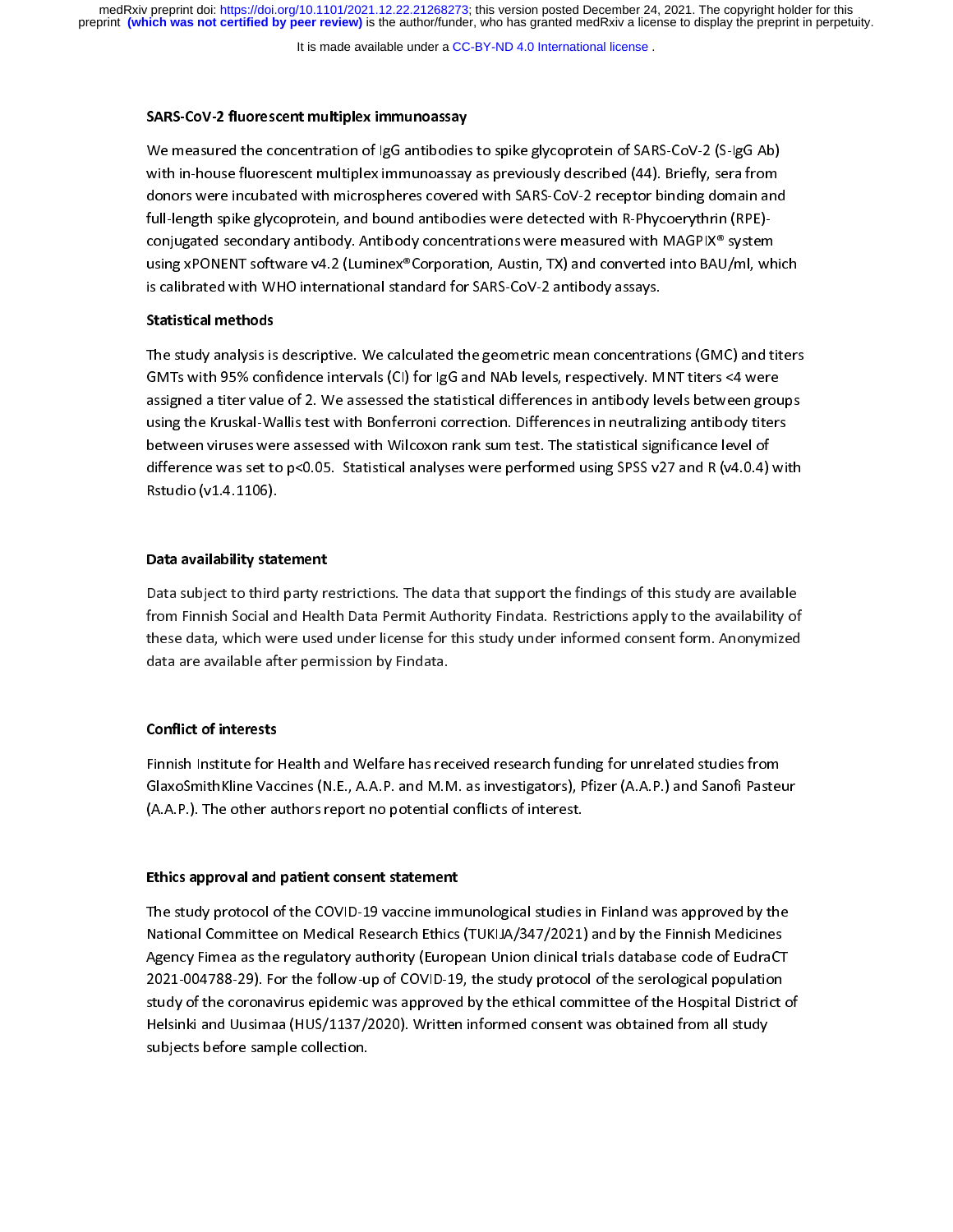It is made available under a [CC-BY-ND 4.0 International license](http://creativecommons.org/licenses/by-nd/4.0/) .

SARS-COV-2 hubrescent multiplex immunoassay<br>We measured the concentration of IgG antibodies<br>with in-house fluorescent multiplex immunoassay<br>donors were incubated with microspheres covere with in-house fluorescent multiplex immunoassay as previously described (44). Briefly, sera from<br>donors were incubated with microspheres covered with SARS-CoV-2 receptor binding domain and<br>full-length spike glycoprotein, a donors were incubated with microspheres covered with SARS-CoV-2 receptor binding domain and<br>full-length spike glycoprotein, and bound antibodies were detected with R-Phycoerythrin (RPE)-<br>conjugated secondary antibody. Anti donors were incubated with microspheres entered with microspheres coming assuming and<br>full-length spike glycoprotein, and bound antibodies were detected with R-Phycoerythrin (RPE)-<br>conjugated secondary antibody. Antibody c full-length spike glycoprotein, and bound antibodies were detected with R-Phycoerythrin (RPE)-<br>conjugated secondary antibody. Antibody concentrations were measured with MAGPIX® system conjugated secondary antibody. Antibody concentrations were measured and matrice as a specified using xPONENT software v4.2 (Luminex® Corporation, Austin, TX) and converted into BAU/ml, wh<br>is calibrated with WHO internatio is calibrated with WHO international standard for SARS-CoV-2 antibody assays.

### Statistical methods

The study analysis is descriptive. We calculated the geometric mean concentrations (GMC) and titers<br>GMTs with 95% confidence intervals (CI) for IgG and NAb levels, respectively. MNT titers <4 were assigned a titer value of 2. We assessed the statistical differences in antibody levels between groups<br>using the Kruskal-Wallis test with Bonferroni correction. Differences in neutralizing antibody titers EMTS WITH 1999 CONFIDENCE (CI) for IgO and NAB 1999, respectively. MAD and Sasigned a titer value of 2. We assessed the statistical differences in antibody levels between grouting the Kruskal-Wallis test with Bonferroni co assigned a title value of 2. We are considered and statistical dimension annually procedusing the Kruskal-Wallis test with Bonferroni correction. Differences in neutralizing antibody titers<br>between viruses were assessed wi between viruses were assessed with Wilcoxon rank sum test. The statistical significance level of<br>difference was set to p<0.05. Statistical analyses were performed using SPSS v27 and R (v4.0.4) wit<br>Rstudio (v1.4.1106). difference was set to p<0.05. Statistical analyses were performed using SPSS v27 and R (v4.0.4) with Rstudio (v1.4.1106). Rstudio (v1.4.1106). Statistical and R (v1.4) were performed using  $\frac{1}{2}$  with  $\frac{1}{2}$  and  $\frac{1}{2}$  with  $\frac{1}{2}$  with  $\frac{1}{2}$  with  $\frac{1}{2}$  with  $\frac{1}{2}$  with  $\frac{1}{2}$  with  $\frac{1}{2}$  with  $\frac{1}{2}$  with  $\frac{1$ 

# Rstudio (v1.4.1106). Data availability statement

|<br>|<br>| Data subject to third party restrictions. The data that support the findings of this study are available<br>from Finnish Social and Health Data Permit Authority Findata. Restrictions apply to the availability of<br>these data, w these data, which were used under license for this study under informed consent form. Anonymized these data are available after permission by Findata.<br>This study under this study under this study under the consent of this study under the consent of the consent o<br>Anonymized consent for the consent of the consent of the

# data are available after permission by Findata.<br>Conflict of interests Conflict of interests

( Finnish Institute for Health and Welfare has received research funding for unrelated studies from<br>GlaxoSmithKline Vaccines (N.E., A.A.P. and M.M. as investigators), Pfizer (A.A.P.) and Sanofi Pasteur (A.A.P.). The other authors report no potential conflicts of interest.

# (A.A.P.). The other authors report no potential conflicts of interest. Ethics approval and patient consent statement

|<br>|<br>| The study process of the Covid-The Covid-The Minimizing process in the Minimizian and Spency Finnes as the regulatory authority (European Union clinical trials database code of EudraCT<br>2021-004788-29). For the follow-up of Agency Fimea as the regulatory authority (European Union clinical trials database code of EudraCT<br>2021-004788-29). For the follow-up of COVID-19, the study protocol of the serological population<br>study of the coronavirus ep 2021-004788-29). For the follow-up of COVID-19, the study protocol of the serological population<br>study of the coronavirus epidemic was approved by the ethical committee of the Hospital District o<br>Helsinki and Uusimaa (HUS/ 2021-005 Study of the coronavirus epidemic was approved by the ethical committee of the Hospital District<br>Helsinki and Uusimaa (HUS/1137/2020). Written informed consent was obtained from all study<br>subjects before sample co Helsinki and Uusimaa (HUS/1137/2020). Written informed consent was obtained from all study<br>subjects before sample collection. Helsinki and Uusimaa (HUS/1137/2020). Written informed consent was obtained all study.<br>subjects before sample collection. subjects before sample collection.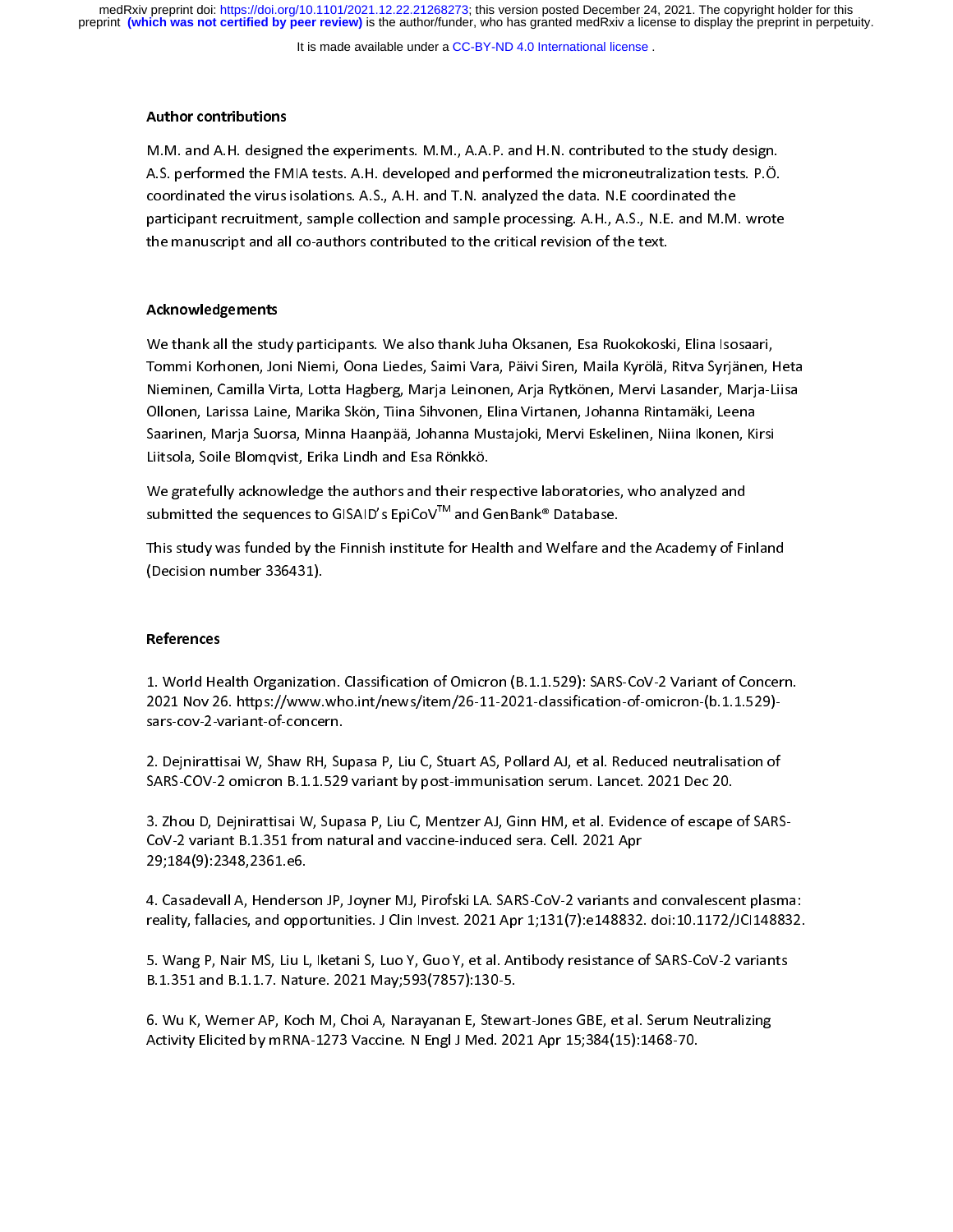It is made available under a [CC-BY-ND 4.0 International license](http://creativecommons.org/licenses/by-nd/4.0/) .

### Author contributions

A.S. performed the FMIA tests. A.H. developed and performed the microneutralization tests. P.Ö.<br>coordinated the virus isolations. A.S., A.H. and T.N. analyzed the data. N.E coordinated the<br>participant recruitment, sample c coordinated the virus isolations. A.S., A.H. and T.N. analyzed the data. N.E coordinated the<br>participant recruitment, sample collection and sample processing. A.H., A.S., N.E. and M.M. wrote<br>the manuscript and all co-autho participant recruitment, sample collection and sample processing. A.H., A.S., N.E. and M.M. wrote the manuscript and all co-authors contributed to the critical revision of the text.

# the manuscript and all co-authors co-authors co-authors co-authors co-authors contributed to the text. The text<br>The text. The text. The text was contributed to the text. The text. The text. The text. The text. The text. Th Acknowledgements

 $\frac{1}{\sqrt{2}}$ We thank all the study participants. We also thank Juha Oksanen, Esa Ruokokoski, Elina Isosaari,<br>Tommi Korhonen, Joni Niemi, Oona Liedes, Saimi Vara, Päivi Siren, Maila Kyrölä, Ritva Syrjänen, Heta<br>Nieminen, Camilla Virta, Tommi Korhonen, Joni Korhon, Joni Letaty Jammi Korja Martsalan, Mahalin Jeta, Martsalan, Jonin.<br>Nieminen, Camilla Virta, Lotta Hagberg, Marja Leinonen, Arja Rytkönen, Mervi Lasander, Marja-Liisa<br>Saarinen, Marja Suorsa, Min nieminen, Laminen 1999, Leitetunge Log, Marja Leitetun, Myarty mertu, Mertu Lasander, Marja Luta<br>Ollonen, Larissa Laine, Marika Skön, Tiina Sihvonen, Elina Virtanen, Johanna Rintamäki, Leena<br>Saarinen, Marja Suorsa, Minna H Saarinen, Marja Suorsa, Minna Haanpää, Johanna Mustajoki, Mervi Eskelinen, Niina Ikonen, Ki<br>Liitsola, Soile Blomqvist, Erika Lindh and Esa Rönkkö.<br>We gratefullv acknowledge the authors and their respective laboratories. wh Liitsola, Soile Blomqvist, Erika Lindh and Esa Rönkkö.<br>We gratefully acknowledge the authors and their respective laboratories, who analyzed and

submitted the sequences to GISAID's EpiCoV<sup>™</sup> and GenBank® Database.

We gratefully actionary activity and the authors and the authors who analyzed and<br>submitted the sequences to GISAID's EpiCoV™ and GenBank® Database.<br>This study was funded by the Finnish institute for Health and Welfare an submitted the sequences to GISAID's EpiCoV"" and GenBank® Database.<br>This study was funded by the Finnish institute for Health and Welfare and<br>(Decision number 336431). This study was funded by the Finnish institute for Health and Welfare and Welfare and Yelfare and the Academy of Finland<br>(Decision number 336431).

# $\begin{pmatrix} 0 & 1 \\ 0 & 1 \end{pmatrix}$ References References

 $\frac{1}{2}$ 1. World Health Organization. Classification of Omicron (B.1.1.529): SARS-CoV-2 Variant of Concern.<br>2021 Nov 26. https://www.who.int/news/item/26-11-2021-classification-of-omicron-(b.1.1.529)-<br>sars-cov-2-variant-of-concern

sars-cov-2-variant-of-concern.<br>2. Dejnirattisai W, Shaw RH, Supasa P, Liu C, Stuart AS, Pollard AJ, et al. Reduced neutralisation of<br>SARS-COV-2 omicron B.1.1.529 variant by post-immunisation serum. Lancet. 2021 Dec 20. sars-cov-2-variant-of-concern.<br>2. Dejnirattisai W, Shaw RH, Su<br>SARS-COV-2 omicron B.1.1.529

SARS-COV-2 omicron B.1.1.529 variant by post-immunisation serum. Lancet. 2021 Dec 20.<br>3. Zhou D, Dejnirattisai W, Supasa P, Liu C, Mentzer AJ, Ginn HM, et al. Evidence of escape of SARS<br>CoV-2 variant B.1.351 from natural a STARS-COV-2 OMIGATION BARSECOV-2 omicine by post-immunication serves and serves to 2021<br>3. Zhou D, Dejnirattisai W, Supasa P, Liu C, Mentzer AJ, Ginn HM, et al. Evidence of escape<br>CoV-2 variant B.1.351 from natural and vac

4. Casadevall A, Henderson JP, Joyner MJ, Pirofski LA. SARS-CoV-2 variants and convalescent plasma 29;184(9):2348,2361.e6.<br>4. Casadevall A, Henderson JP, Joyner MJ, Pirofski LA. SARS-CoV-2 variants ar<br>reality, fallacies, and opportunities. J Clin Invest. 2021 Apr 1;131(7):e148832. 29;<br>4. Casadevall A, Henderso<br>reality, fallacies, and opp

reality, fallacies, and opportunities. J Clin Invest. 2021 Apr 1;131(7):e148832. doi:10.1172/JCI148832.<br>5. Wang P, Nair MS, Liu L, Iketani S, Luo Y, Guo Y, et al. Antibody resistance of SARS-CoV-2 variants<br>B.1.351 and B.1. 5. Wang P, Nair MS, Liu L, Iketani S, Luo Y, Guo Y, et al. Antibody resistance of SARS-CoV-2 variants

6. Wu K, Werner AP, Koch M, Choi A, Narayanan E, Stewart-Jones GBE, et al. Serum Neutralizing ر<br>1.351 B. Wu K, Werner AP, Koch M, Choi A, Narayanan E, Stewa<br>1273 Vaccine. N Engl J Med. 20.4. Activity Elicited by mRNA 6. Wu K, Westerland, Westerland, Westerland, Maria, Journal Process (15): 1468-70.<br>Activity Elicited by mRNA-1273 Vaccine. N Engl J Med. 2021 Apr 15;384(15): 1468-70. Activity Elicited by mRNA-1273 Vaccine. N Engl J Med. 2021 Apr 15;384(15):1468-70.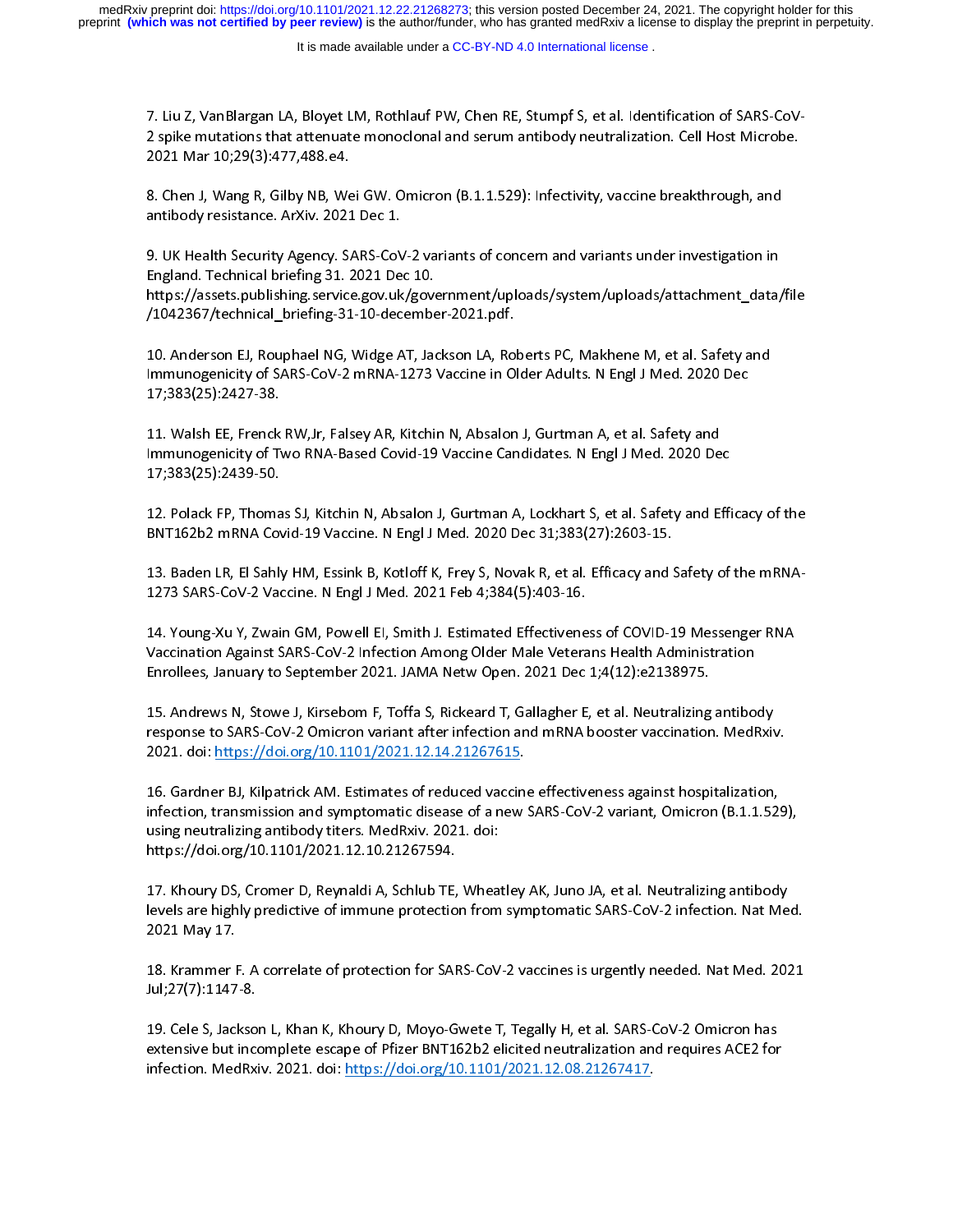It is made available under a [CC-BY-ND 4.0 International license](http://creativecommons.org/licenses/by-nd/4.0/) .

7. Liu Z, VanBlargan LA, Bloyet LM, Rothlauf PW, Chen RE, Stumpf S, et al. Identification of SARS-CoV-

8. Chen J. Wang R. Gilby NB, Wei GW, Omicron (B.1.1.529); Infectivity, vaccine breakthrough, and 2021 Mar 10;29(3):477,488.e4.<br>8. Chen J, Wang R, Gilby NB, Wei GW. Omicron (B.1.1.529): Infectivity, vaccine breakthrough, and<br>antibody resistance. ArXiv. 2021 Dec 1. 2022 Mar 20,29(3):477,90002<br>8. Chen J, Wang R, Gilby NB, We<br>antibody resistance. ArXiv. 2021

8. Chen J, Wang P, Gilby N, 2021 Dec 1.<br>8. Chen J, Wang R, Gilby N, 2021 Dec 1.<br>8. UK Health Security Agency. SARS-CoV-2 variants of concern and variants under investigation in<br>England. Technical briefing 31. 2021 Dec 10. ر<br>G. UK Health Security Agency. SARS-CoV<br>England. Technical briefing 31. 2021 De<br>https://assets.publishing.service.gov.uk

England. Technical briefing 31. 2021 Dec 10.<br>https://assets.publishing.service.gov.uk/government/uploads/system/uploads/attachment\_data,<br>/1042367/technical\_briefing-31-10-december-2021.pdf. https://assets.publishing.service.gov.uk/gove<br>/1042367/technical\_briefing-31-10-decembe<br>10. Anderson EJ. Rouphael NG. Widge AT. Jac

https://assets.publishing.publishing.publishing.publishing.publishing.publishing\_andyingly-1042367/technical\_briefing-31-10-december-2021.pdf.<br>10. Anderson EJ, Rouphael NG, Widge AT, Jackson LA, Roberts PC, Makhene M, et a /102237/technical\_abrews-31-10-december-2021.pdf.<br>10. Anderson EJ, Rouphael NG, Widge AT, Jackson LA, Ro<br>Immunogenicity of SARS-CoV-2 mRNA-1273 Vaccine in O<br>17:383(25):2427-38. Immunogenicity of SARS-CoV-2 mRNA-1273 Vaccine in Older Adults. N Engl J Med. 2020 Dec<br>17;383(25):2427-38.<br>11. Walsh EE, Frenck RW,Jr, Falsey AR, Kitchin N, Absalon J, Gurtman A, et al. Safety and

17;383(25):2427-38.<br>11. Walsh EE, Frenck RW,Jr, Falsey AR, Kitchin N, Absalon J, Gurtman A, et al. Safety and<br>Immunogenicity of Two RNA-Based Covid-19 Vaccine Candidates. N Engl J Med. 2020 Dec (17)<br>11. Walsh EE, Frenck<br>17;383(25):2439-50. 11. Walsh Ee, French Ry, Falsey Am, Alemany, Alemany, January, January, Am<br>Immunogenicity of Two RNA-Based Covid-19 Vaccine Candidates. N Engl J Med. 2020 De<br>12. Polack FP. Thomas SJ. Kitchin N. Absalon J. Gurtman A. Lockh

Immunogenicity of The Covid-19 Vaccine Covid-19 Vaccine Communications (1994)<br>12. Polack FP, Thomas SJ, Kitchin N, Absalon J, Gurtman A, Lockhart S, et al. Safety and Effi<br>BNT162b2 mRNA Covid-19 Vaccine. N Engl J Med. 2020 17;383(25):2439-50.

12. Polace FP, Thomas FP, Thomas Spin Med. 2020 Dec 31;383(27):2603-15.<br>13. Baden LR, El Sahly HM, Essink B, Kotloff K, Frey S, Novak R, et al. Efficacy and Safety of the mRNA-<br>1273 SARS-CoV-2 Vaccine. N Engl J Med. 2021 F BNT162B2 MMA COVID-19 VACHIC MENGLY MEMILIC POLIC COVID-19 LIVE 2020<br>13. Baden LR, El Sahly HM, Essink B, Kotloff K, Frey S, Novak R, et al. Efficacy and !<br>1273 SARS-CoV-2 Vaccine. N Engl J Med. 2021 Feb 4;384(5):403-16.

13. Baden LR, El Sahly Holmes, Covid-Ha, Fremin B, El Sahly Hale Veterans Health Administration<br>Enrollees, January to September 2021. JAMA Netw Open. 2021 Dec 1;4(12):e2138975.<br>15. Andrews N, Stowe J, Kirsebom F, Toffa S, 1273 SARS-CoV-2 Vaccine. N Engl J Med. 2021 Feb 4;384(5):403-16.<br>14. Young-Xu Y, Zwain GM, Powell El, Smith J. Estimated Effectiveness of COVID-19 Messenger RNA<br>Vaccination Against SARS-CoV-2 Infection Among Older Male Vet

Enrollees, January to September 2021. JAMA Netw Open. 2021 Dec 1;4(12):e2138975.<br>15. Andrews N, Stowe J, Kirsebom F, Toffa S, Rickeard T, Gallagher E, et al. Neutralizing antibo<br>response to SARS-CoV-2 Omicron variant after Enrollem India<br>15. Andrews N, Stowe J, Kirsebom F, Toffa S, Rickeard T, Gallagher E, et al. Neutralizing<br>1921. doi: https://doi.org/10.1101/2021.12.14.21267615.<br>2021. doi: https://doi.org/10.1101/2021.12.14.21267615. response to SARS-CoV-2 Omicron variant after infection and mRNA booster vaccination. MedRxiv.<br>2021. doi: <u>https://doi.org/10.1101/2021.12.14.21267615</u>.<br>16. Gardner BJ, Kilpatrick AM. Estimates of reduced vaccine effectiven

2021. doi: <u>https://doi.org/10.1101/2021.12.14.21267615</u>.<br>16. Gardner BJ, Kilpatrick AM. Estimates of reduced vaccine effectiveness against hospitalization,<br>infection. transmission and symptomatic disease of a new SARS-CoV 2022. The Community of Carlin Carlin 16.<br>2021. Gardner BJ, Kilpatrick AM. Estimates of reduced vaccine<br>2021. doi: infection, transmission and symptomatic disease of a new<br>19.11.1011. How was a stribody titers. MedRxiv. 202 infection, transmission and symptomatic disease of a new SARS-CoV-2 variant, Omicron (B.1.1.52)<br>using neutralizing antibody titers. MedRxiv. 2021. doi:<br>https://doi.org/10.1101/2021.12.10.21267594. infection, transmission and symptomatic disease of a new SARS-Covernment, Courses of a new SARS-Covernment of<br>https://doi.org/10.1101/2021.12.10.21267594.<br>17. Khourv DS. Cromer D. Revnaldi A. Schlub TE. Wheatlev AK. Juno J

https://doi.org/10.1101/2021.12.10.21267594.<br>17. Khoury DS, Cromer D, Reynaldi A, Schlub TE, Whea<br>levels are highly predictive of immune protection from https://doi.org/2012-12.12.12.12.12.10.11<br>17. Khoury DS, Cromer D, Reynaldi A, Schlub TE,<br>levels are highly predictive of immune protectio<br>2021 May 17. levels are highly predictive of immune protection from symptomatic SARS-CoV-2 infection. Nat Med.<br>2021 May 17.

levels are highly predictive of immune protections and symptomatic state of interestion. Nat Med. 2021<br>18. Krammer F. A correlate of protection for SARS-CoV-2 vaccines is urgently needed. Nat Med. 2021<br>Jul;27(7):1147-8. 2022 May 202<br>18. Krammer F<br>Jul;27(7):1147

18. Majority 18. Krammer F. A correlate of protection for Sandwich Pangelin, Neededlands is used to put<br>19. Cele S, Jackson L, Khan K, Khoury D, Moyo-Gwete T, Tegally H, et al. SARS-CoV-2 Omicron has<br>extensive but incomple My27(7):277-8.7<br>19. Cele S, Jackso<br>extensive but inco<br>infection. MedRxi extensive but incomplete escape of Pfizer BNT162b2 elicited neutralization and requires ACE2 for<br>infection. MedRxiv. 2021. doi: <u>https://doi.org/10.1101/2021.12.08.21267417</u><br>infection. MedRxiv. 2021. doi. https://doi.org/10.1101/2021.12.08.21267417. infection. Media and the control of the control of the control of the control of the control of the control of<br>infection. And the control of the control of the control of the control of the control of the control of the c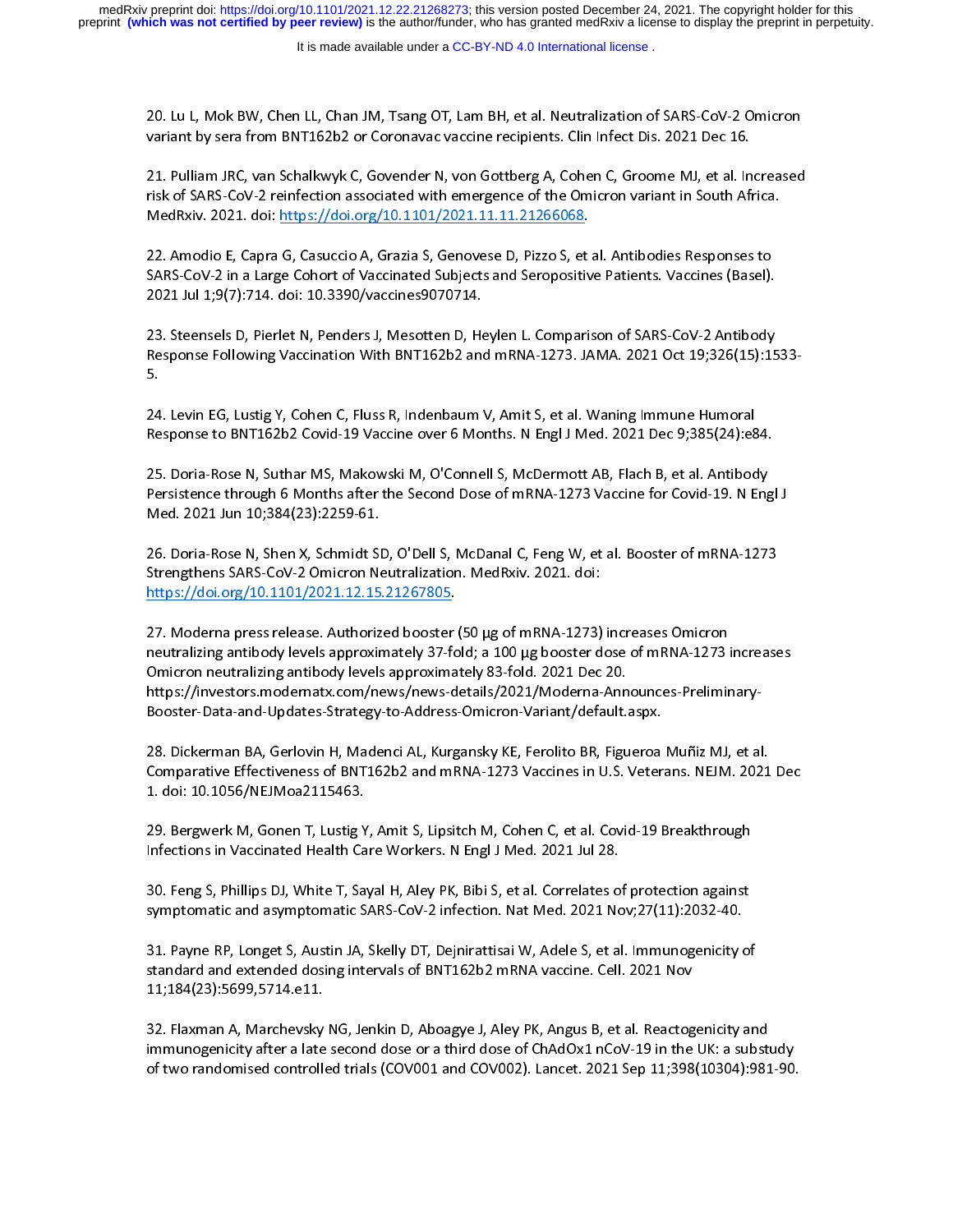20. Lu L, Mok BW, Chen LL, Chan JM, Tsang OT, Lam BH, et al. Neutralization of SARS-CoV-2 Omicron<br>variant by sera from BNT162b2 or Coronavac vaccine recipients. Clin Infect Dis. 2021 Dec 16.<br>21. Pulliam JRC, van Schalkwyk

val. Pulliam JRC, van Schalkwyk C, Govender N, von Gottberg A, Cohen C, Groome MJ, et al. In<br>risk of SARS-CoV-2 reinfection associated with emergence of the Omicron variant in South Afi<br>MedRxiv. 2021. doi: https://doi.org/ risk of SARS-CoV-2 reinfection associated with emergence of the Omicron variant in South Africa.<br>MedRxiv. 2021. doi: <u>https://doi.org/10.1101/2021.11.11.21266068</u>.<br>22. Amodio E, Capra G, Casuccio A, Grazia S, Genovese D, P

risk of Sars-Cov-2 reinfection and Sars-Cov-2 reinfection and MedRxiv. 2021. doi: https://doi.org/10.1101/2021.11.11.21266068.<br>22. Amodio E, Capra G, Casuccio A, Grazia S, Genovese D, Pizzo S, et al. Antibodies Responses t MedRy MedRy Commons 22. Amodio E, Capra G, Casuccio A, Grazia S, Genovese D, Pizzo S, et<br>SARS-CoV-2 in a Large Cohort of Vaccinated Subjects and Seropositiv<br>2021 Jul 1:9(7):714. doi: 10.3390/vaccines9070714. SARS-CoV-2 in a Large Cohort of Vaccinated Subjects and Seropositive Patients. Vaccines (Basel).<br>2021 Jul 1;9(7):714. doi: 10.3390/vaccines9070714.

)<br>Salem 1:9(7):714. doi: 10.3390/vaccines9070714.<br>SARS-CoV-2 Antibody (Subjects and Seropositive Patients of SARS-CoV-2 Antibody<br>Response Following Vaccination With BNT162b2 and mRNA-1273. JAMA. 2021 Oct 19:326(15):15 2022 July 1;9(7):2021 July 2022 Jyl 1;9(7):2021<br>23. Steensels D, Pierlet N, Penders J, Mesotten D, He<br>Response Following Vaccination With BNT162b2 and<br>5. Response Following Vaccination With BNT162b2 and mRNA-1273. JAMA. 2021 Oct 19;326(15):1533-<br>5.<br>24. Levin EG, Lustig Y, Cohen C, Fluss R, Indenbaum V, Amit S, et al. Waning Immune Humoral

Response Following Caccination Content Following Vaccination Party Communications<br>24. Levin EG, Lustig Y, Cohen C, Fluss R, Indenbaum V, Amit S, et al. Waning Immune Humoral<br>Response to BNT162b2 Covid-19 Vaccine over 6 Mon 24<br>Re

24. Lesponse to BNT162b2 Covid-19 Vaccine over 6 Months. N Engl J Med. 2021 Dec 9;385(24):e8<br>25. Doria-Rose N, Suthar MS, Makowski M, O'Connell S, McDermott AB, Flach B, et al. Antibod<br>Persistence through 6 Months after th Response to Britania Barna Barna Pressure over 8 Months. It anywards. 2021-2021-2021-2021.<br>25. Doria-Rose N, Suthar MS, Makowski M, O'Connell S, McDermott AB, Flach B, et al. Antibody<br>Persistence through 6 Months after the 25. Doria-Rose N, Suthar MS, Makowski M, O'Connell S, McDermott AB, Flach B, et al. Antibody<br>Persistence through 6 Months after the Second Dose of mRNA-1273 Vaccine for Covid-19. N Eng<br>Med. 2021 Jun 10;384(23):2259-61.<br>26.

Med. 2021 Jun 10;384(23):2259-61.<br>26. Doria-Rose N, Shen X, Schmidt SD, O'Dell S, McDanal C, Feng W, et al. Booster of mRNA-1273<br>Strengthens SARS-CoV-2 Omicron Neutralization. MedRxiv. 2021. doi: Med. 2021 Jun 10;384(23):2259-61.<br>26. Doria-Rose N, Shen X, Schmidt SD, O'Dell S, McDanal C, Feng W, et<br>Strengthens SARS-CoV-2 Omicron Neutralization. MedRxiv. 2021. doi:<br>https://doi.org/10.1101/2021.12.15.21267805. 26. Doria-Rose N, Shen X, Schmidt SD, O'Dell S, McDanal C, Feng W, et al. Booster of mRNA-1273<br>Strengthens SARS-CoV-2 Omicron Neutralization. MedRxiv. 2021. doi:<br><u>https://doi.org/10.1101/2021.12.15.21267805</u>.<br>27. Moderna p

https://doi.org/10.1101/2021.12.15.21267805.<br>27. Moderna press release. Authorized booster (50 µg of mRNA-1273)<br>neutralizing antibody levels approximately 37-fold; a 100 µg booster d man and the mail of the mail of the main and the mental state.<br>27. Moderna press release. Authorized booster<br>neutralizing antibody levels approxima<br>Omicron neutralizing antibody levels approxima neutralizing antibody levels approximately 37-fold; a 100 µg booster dose of mRNA-1273 increase. Omicron neutralizing antibody levels approximately 83-fold. 2021 Dec 20.<br>Omicron neutralizing antibody levels approximately 8 Omicron neutralizing antibody levels approximately 83-fold. 2021 Dec 20.<br>https://investors.modernatx.com/news/news-details/2021/Moderna-Announces-Preliminary-<br>Booster-Data-and-Updates-Strategy-to-Address-Omicron-Variant/de https://investors.modernatx.com/news/news-details/2021/Moderna-Ann<br>Booster-Data-and-Updates-Strategy-to-Address-Omicron-Variant/default.<br>28. Dickerman BA, Gerlovin H, Madenci AL, Kurgansky KE, Ferolito BR, Figu

Comparative Effectiveness of BNT162b2 and mRNA-1273 Vaccines in U.S. Veterans. NEJM. 2021<br>1. doi: 10.1056/NEJMoa2115463.<br>29. Bergwerk M, Gonen T, Lustig Y, Amit S, Lipsitch M, Cohen C, et al. Covid-19 Breakthrough Booster-Data-and-Updates-Strategy-to-Address-Omicron-Variant/default.aspx.<br>28. Dickerman BA, Gerlovin H, Madenci AL, Kurgansky KE, Ferolito BR, Figueroa Muñiz MJ, et al.<br>Comparative Effectiveness of BNT162b2 and mRNA-1273

Comparative Effective Effective Effective Effective Effective Process of Bandis II<br>1. doi: 10.1056/NEJMoa2115463.<br>Infections in Vaccinated Health Care Workers. N Engl J Med. 2021 Jul 28. 1. doi: 10.1056/NEJMoa2115463.

Infections in Vaccinated Health Care Workers. N Engl J Med. 2021 Jul 28.<br>30. Feng S, Phillips DJ, White T, Sayal H, Aley PK, Bibi S, et al. Correlates of protection against<br>symptomatic and asymptomatic SARS-CoV-2 infection Infections in Vacanated Health Care Methems in Jag Chron 2021 Va.<br>30. Feng S, Phillips DJ, White T, Sayal H, Aley PK, Bibi S, et al. Correlates o<br>symptomatic and asymptomatic SARS-CoV-2 infection. Nat Med. 2021 No

31. Payne RP, Longet S, Austin JA, Skelly DT, Dejnirattisai W, Adele S, et al. Immunogenicity of<br>31. Payne RP, Longet S, Austin JA, Skelly DT, Dejnirattisai W, Adele S, et al. Immunogenicity of<br>standard and extended dosing symptomatic and asymptomatic orresponses to an association. National association. Nat Asymptomatic SARS-Cover<br>31. Payne RP, Longet S, Austin JA, Skelly DT, Dejnirattisai W, Adele S, et al. Immunogenicity of<br>11;184(23):5699 standard and extended dosing intervals of BNT162b2 mRNA vaccine. Cell. 2021 Nov<br>11;184(23):5699,5714.e11.<br>32. Flaxman A, Marchevsky NG, Jenkin D, Aboagye J, Aley PK, Angus B, et al. Reactogenicity and

immunogenicity after a late second dose or a third dose of ChAdOx1 nCoV-19 in the UK: a substudy 11;184(23):5699,5714.e11. immunogenicity after a late second dose or a third dose of ChAdOx1 nCoV-19 in the UK: a substi<br>of two randomised controlled trials (COV001 and COV002). Lancet. 2021 Sep 11;398(10304):981<br>immunogenicity after a later second are condition and COV002). Lancet. 2021 Sep 11;398(10304):981-90.<br>of two randomised controlled trials (COV001 and COV002). Lancet. 2021 Sep 11;398(10304):981-90. of two randomised controlled trials (COV001 and COV002). Lancet. 2021 Sep 11;398(10304):981-90.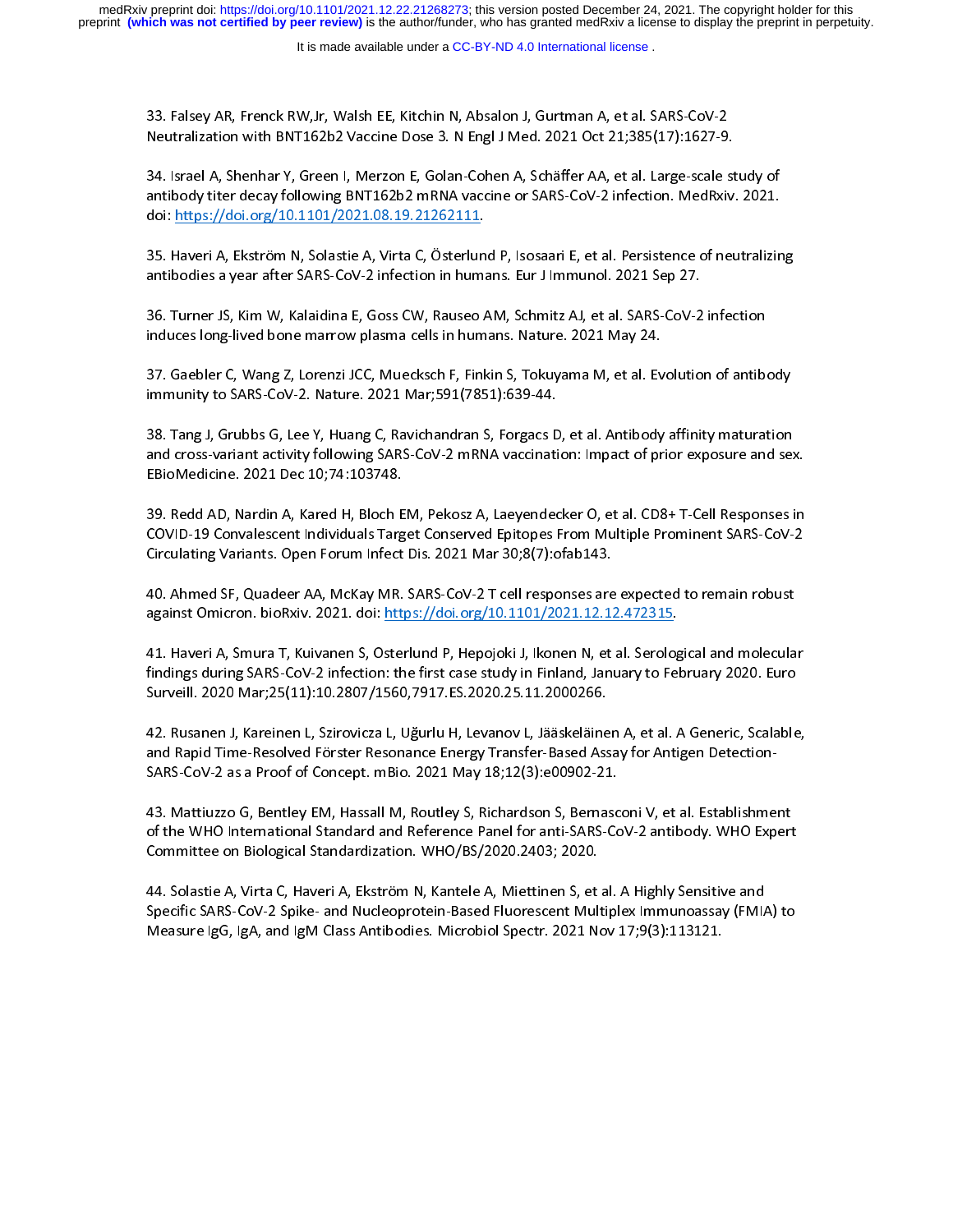It is made available under a [CC-BY-ND 4.0 International license](http://creativecommons.org/licenses/by-nd/4.0/) .

33. Falsey AR, Frenck RW,Jr, Walsh EE, Kitchin N, Absalon J, Gurtman A, et al. SARS-CoV-2<br>Neutralization with BNT162b2 Vaccine Dose 3. N Engl J Med. 2021 Oct 21;385(17):1627-9.<br>34. Israel A, Shenhar Y, Green I, Merzon E, G

سمية 34. Israel A, Shenhar Y, Green I, Merzon E, Golan-Cohen A, Schäffer AA, et al. Large-scale st<br>antibody titer decay following BNT162b2 mRNA vaccine or SARS-CoV-2 infection. MedRxiv.<br>doi: https://doi.org/10.1101/2021.0 antibody titer decay following BNT162b2 mRNA vaccine or SARS-CoV-2 infection. MedRxiv. 2021.<br>doi: <u>https://doi.org/10.1101/2021.08.19.21262111.</u><br>35. Haveri A, Ekström N, Solastie A, Virta C, Österlund P, Isosaari E, et al.

antibody: https://doi.org/10.1101/2021.08.19.21262111.<br>doi: <u>https://doi.org/10.1101/2021.08.19.21262111</u>.<br>35. Haveri A, Ekström N, Solastie A, Virta C, Österlund P, Isosaari E, et al. Persistence of neutralizin<br>antibodies doi: https://doi.org/10.1101/2021.08.19.21262111.

antibodies a year after SARS-CoV-2 infection in humans. Eur J Imm unol. 2021 Sep 27.<br>36. Turner JS, Kim W, Kalaidina E, Goss CW, Rauseo AM, Schmitz AJ, et al. SARS-CoV-2 infection<br>induces long-lived bone marrow plasma cell antibodies anticarty.<br>36. Turner JS, Kim W, Kalaidina E, Goss CW, Rauseo AM, Schmitz AJ, et al. SARS-CoV-2<br>1 induces long-lived bone marrow plasma cells in humans. Nature. 2021 May 24.

36. Turner Joy Manumer, Jurner Jury of the United States Conglished in Automas Colorations (induces long-lived bone marrow plasma cells in humans. Nature. 2021 May 24.<br>37. Gaebler C, Wang Z, Lorenzi JCC, Muecksch F, Finkin است کی سی کی دی که از S7. Gaebler C, Wang Z, Lorenzi JCC, Muecksch F, Finkin S, Tokuyama M, et al. Ev<br>immunity to SARS-CoV-2. Nature. 2021 Mar;591(7851):639-44. immunity to SARS-CoV-2. Nature. 2021 Mar;591(7851):639-44.<br>38. Tang J, Grubbs G, Lee Y, Huang C, Ravichandran S, Forgacs D, et al. Antibody affinity maturation

immunity of Saragan and Coven Coven<br>198. Tang J, Grubbs G, Lee Y, Huang C, Ravichandran S, Forgacs D<br>1910 - EBioMedicine. 2021 Dec 10:74:103748. and cross-variant activity following SARS-CoV-2 mRNA vaccination: Impact of prior exposure and sex<br>EBioMedicine. 2021 Dec 10;74:103748.<br>39. Redd AD, Nardin A, Kared H, Bloch EM, Pekosz A, Laevendecker O, et al. CD8+ T-Cell

and cross-variant activity following cross-variant activity formulation in prior exposer and sense in<br>19. Redd AD, Nardin A, Kared H, Bloch EM, Pekosz A, Laeyendecker O, et al. CD8+ T-Cell Responses in<br>COVID-19 Convalescen EBiomement Present Presenting<br>39. Redd AD, Nardin A, Kared H, Bloch E<br>COVID-19 Convalescent Individuals Targ<br>Circulating Variants. Open Forum Infect COVID-19 Convalescent Individuals Target Conserved Epitopes From Multiple Prominent SARS-CoV-2<br>Circulating Variants. Open Forum Infect Dis. 2021 Mar 30;8(7):ofab143.

40. Ahmed SF, Quadeer AA, McKay MR, SARS-CoV-2 T cell responses are expected to remain robust against Omicron. bioRxiv. 2021. doi: https://doi.org/10.1101/2021.12.12.472315.

41. Haveri A, Smurrey, 2021. doi: <u>https://doi.org/10.1101/2021.12.12.472315</u>.<br>41. Haveri A, Smura T, Kuivanen S, Osterlund P, Hepojoki J, Ikonen N, et al. Serological and molecula<br>findings during SARS-CoV-2 infection: the against Omicrom. Brown. 2021. And <u>map by Chron. Brown. Brown.</u><br>41. Haveri A, Smura T, Kuivanen S, Osterlund P, Hepojoki J, Ikonen N, et al. Serolog<br>findings during SARS-CoV-2 infection: the first case study in Finland, Ja findings during SARS-CoV-2 infection: the first case study in Finland, January to February 2020. Euro<br>Surveill. 2020 Mar;25(11):10.2807/1560,7917.ES.2020.25.11.2000266.<br>42. Rusanen J, Kareinen L, Szirovicza L, Uğurlu H, Le

findings during Mar;25(11):10.2807/1560,7917.ES.2020.25.11.2000266.<br>Surveill. 2020 Mar;25(11):10.2807/1560,7917.ES.2020.25.11.2000266.<br>42. Rusanen J, Kareinen L, Szirovicza L, Uğurlu H, Levanov L, Jääskeläinen A, et al. A )<br>12. Rusanen J, Kareinen L, Szirovicza L, Uğurlu H, Levanov L, Jääskeläine<br>1920 Sand Time-Resolved Förster Resonance Energy Transfer-Based<br>1920-21.2009 SARS-Cover Sander Allen.<br>1931.200902-21.2000 12. Rusanen J, Russianen J, Samerica J, Sgamma, Scenmer J, Pulatisminisma, Scalable, Samma Detection-<br>SARS-CoV-2 as a Proof of Concept. mBio. 2021 May 18;12(3):e00902-21.<br>43. Mattiuzzo G, Bentley EM, Hassall M, Routley S,

of the WHO International Standard and Reference Panel for anti-SARS-CoV-2 antibody. WHO Expert<br>Committee on Biological Standardization. WHO/BS/2020.2403; 2020.<br>44. Solastie A, Virta C, Haveri A, Ekström N, Kantele A, Miett SARS-CoV-2 as a Proof of Concept. mBio. 2021 May 18;12(3):e00902-21.<br>43. Mattiuzzo G, Bentley EM, Hassall M, Routley S, Richardson S, Bernasconi V, et al. Establishment<br>of the WHO International Standard and Reference Panel

Committee on Biological Standardization. WHO/BS/2020.2403; 2020.<br>44. Solastie A, Virta C, Haveri A, Ekström N, Kantele A, Miettinen S, et al. A Highly Sensitive and<br>Specific SARS-CoV-2 Spike- and Nucleoprotein-Based Fluore Committee on Biological Standardization. WHO/BS/2020.2403; 2020. 4. Specific SARS-CoV-2 Spike- and Nucleoprotein-Based Fluorescent Multiplex Immunoassay (FMIA<br>Measure IgG, IgA, and IgM Class Antibodies. Microbiol Spectr. 2021 Nov 17;9(3):113121.<br>Measure IgG, IgA, and IgM Class Antibodie Specific SARS-Covering Saragetter Section 2 September 2021 Nov-17;9(3):113121.<br>Measure IgG, IgA, and IgM Class Antibodies. Microbiol Spectr. 2021 Nov-17;9(3):113121.  $\mathcal{L}_{\mathcal{G}}$  , iga, and igm class Antibodies. Microbiol Spectra Anti- $\mathcal{L}_{\mathcal{G}}$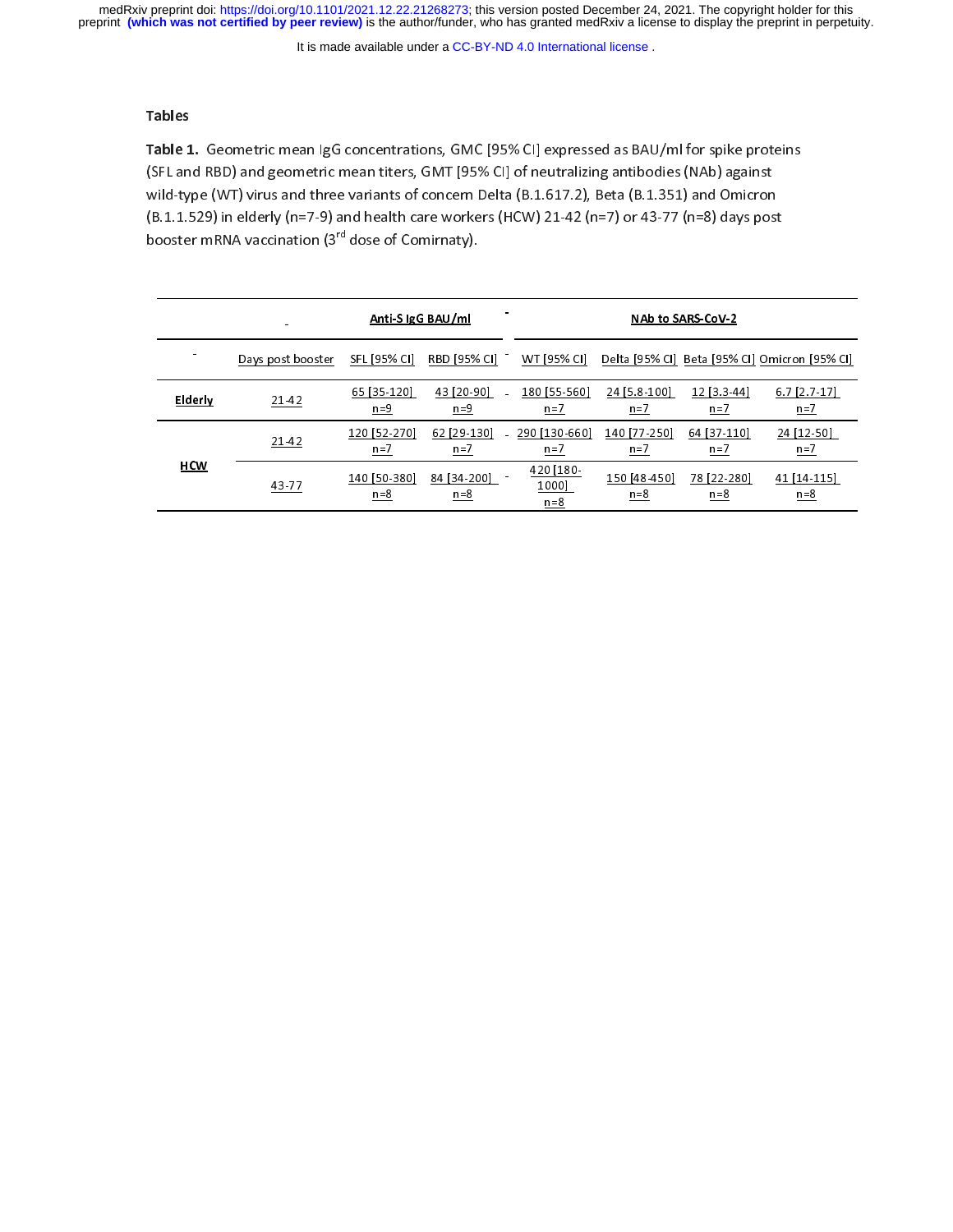It is made available under a [CC-BY-ND 4.0 International license](http://creativecommons.org/licenses/by-nd/4.0/) .

Tables<br>Table 1<br>SFL an<br>wild-ty Table 1. Geometric mean Igo concentrations, GMC [95% CI] expressed as BAO/Im for spike proteins<br>(SFL and RBD) and geometric mean titers, GMT [95% CI] of neutralizing antibodies (NAb) against<br>wild-type (WT) virus and three wild-type (WT) virus and three variants of concern Delta (B.1.617.2), Beta (B.1.351) and Omicron  $(B.1.1.529)$  in elderly (n=7-9) and health care workers (HCW) 21-42 (n=7) or 43-77 (n=8) days post  $\begin{array}{c}\n\text{booster mRNA vaccination (3<sup>rd</sup> dose of Community).}\n\end{array}$ 

|                | booster mRNA vaccination (3 T dose of Comirnaty). |                         |                      |                               |                       |                      |                                               |
|----------------|---------------------------------------------------|-------------------------|----------------------|-------------------------------|-----------------------|----------------------|-----------------------------------------------|
|                | Anti-SigG BAU/ml                                  |                         |                      | <b>NAb to SARS-CoV-2</b>      |                       |                      |                                               |
|                | Days post booster                                 | SFL [95% CI]            | RBD [95% CI]         | WT [95% CI]                   |                       |                      | Delta [95% CI] Beta [95% CI] Omicron [95% CI] |
| <b>Elderly</b> | 21-42                                             | 65 [35-120]<br>$n=9$    | 43 [20-90]<br>$n=9$  | 180 [55-560]<br>$n=7$         | 24 [5.8-100]<br>$n=7$ | 12 [3.3-44]<br>$n=7$ | $6.7$ [2.7-17]<br>$n=7$                       |
|                | $21-42$                                           | 120 [52-270]<br>$n=7$   | 62 [29-130]<br>$n=7$ | 290 [130-660]<br>$n=7$        | 140 [77-250]<br>$n=7$ | 64 [37-110]<br>$n=7$ | 24 [12-50]<br>$n=7$                           |
| <b>HCW</b>     | 43-77                                             | 140 [50-380]<br>$n = 8$ | 84 [34-200]<br>$n=8$ | 420 [180-<br>1000]<br>$n = 8$ | 150 [48-450]<br>$n=8$ | 78 [22-280]<br>$n=8$ | 41 [14-115]<br>$n=8$                          |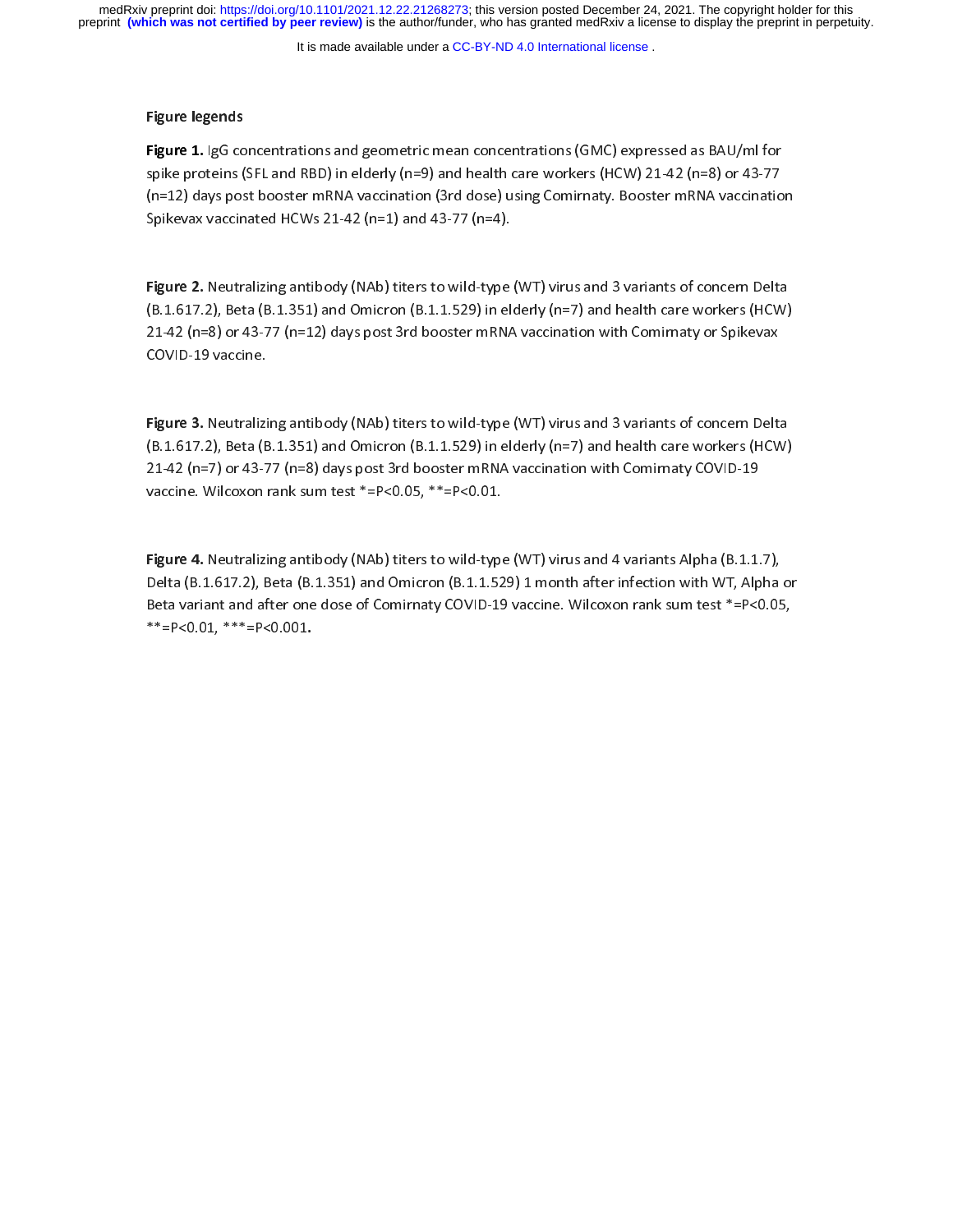It is made available under a [CC-BY-ND 4.0 International license](http://creativecommons.org/licenses/by-nd/4.0/) .

### Figure legends

Figure 1. Igo concentrations and geometric mean concentrations (onc) expressed as BAU/mi for<br>spike proteins (SFL and RBD) in elderly (n=9) and health care workers (HCW) 21-42 (n=8) or 43-77<br>(n=12) days post booster mRNA va (n=12) days post booster mRNA vaccination (3rd dose) using Comirnaty. Booster mRNA vaccinatio<br>Spikevax vaccinated HCWs 21-42 (n=1) and 43-77 (n=4). Spikevax vaccinated HCWs 21-42 (n=1) and 43-77 (n=4).

Figure 2. Neutralizing antibody (NAb) titers to wild-type (WT) virus and 3 variants of concern Delta<br>(B.1.617.2), Beta (B.1.351) and Omicron (B.1.1.529) in elderly (n=7) and health care workers (HCW) Figure 2. Neutralizing antibody (NAb) titers to wild type (WT) virus and 3 variants of concern belta<br>(B.1.617.2), Beta (B.1.351) and Omicron (B.1.1.529) in elderly (n=7) and health care workers (HCW)<br>21-42 (n=8) or 43-77 ( (Beta Corporation), Beta (Beta Corporation (Beta Corporation), and only (n=1) in electron care workers (HCW)<br>21-42 (n=8) or 43-77 (n=12) days post 3rd booster mRNA vaccination with Comirnaty or Spikevax<br>COVID-19 vaccine. 2021D-19 vaccine.<br>2011 - 43-78 (n=12) days post 3rd booster many post 3rd booster many variation with Comirate many post 3rd boo<br>2012 - Spikevax post 3rd booster many post 3rd booster many post 3rd booster many post 3rd bo COVID-19 vaccine.<br>Figure 3. Neutralizing antibody (NAb) titers to wild-type (WT) virus and 3 variants of concern Delta

 $(F.1.617.2)$ , Beta  $(F.1.351)$  and Omicron  $(F.1.1.529)$  in elderly (n=7) and health care workers (HCW) 21-42 (n=7) or 43-77 (n=8) days post 3rd booster mRNA vaccination with Comirnaty COVID-19 vaccine. Wilcoxon rank sum test \*=P<0.05, \*\*=P<0.01.

Figure 4. Neutralizing antibody (NAb) titers to wild-type (WT) virus and 4 variants Alpha (B.1.1.7),<br>Delta (B.1.617.2), Beta (B.1.351) and Omicron (B.1.1.529) 1 month after infection with WT, Alpha or |<br>|<br>|<br>|} Figure 4. Neutralizing antibody (NAb) titers to what type (WT) virus and 4 variants Alpha (B.1.1.7),<br>Delta (B.1.617.2), Beta (B.1.351) and Omicron (B.1.1.529) 1 month after infection with WT, Alpha<br>Beta variant and after o Beta variant and after one dose of Comirnaty COVID-19 vaccine. Wilcoxon rank sum test \*=P<0.05,<br>\*\*=P<0.01, \*\*\*=P<0.001.<br>\*\*=P<0.01, \*\*\*=P<0.001.  $***=P<0.01,***=P<0.001,$  $-$ Pso.01,  $-$ Pso.001.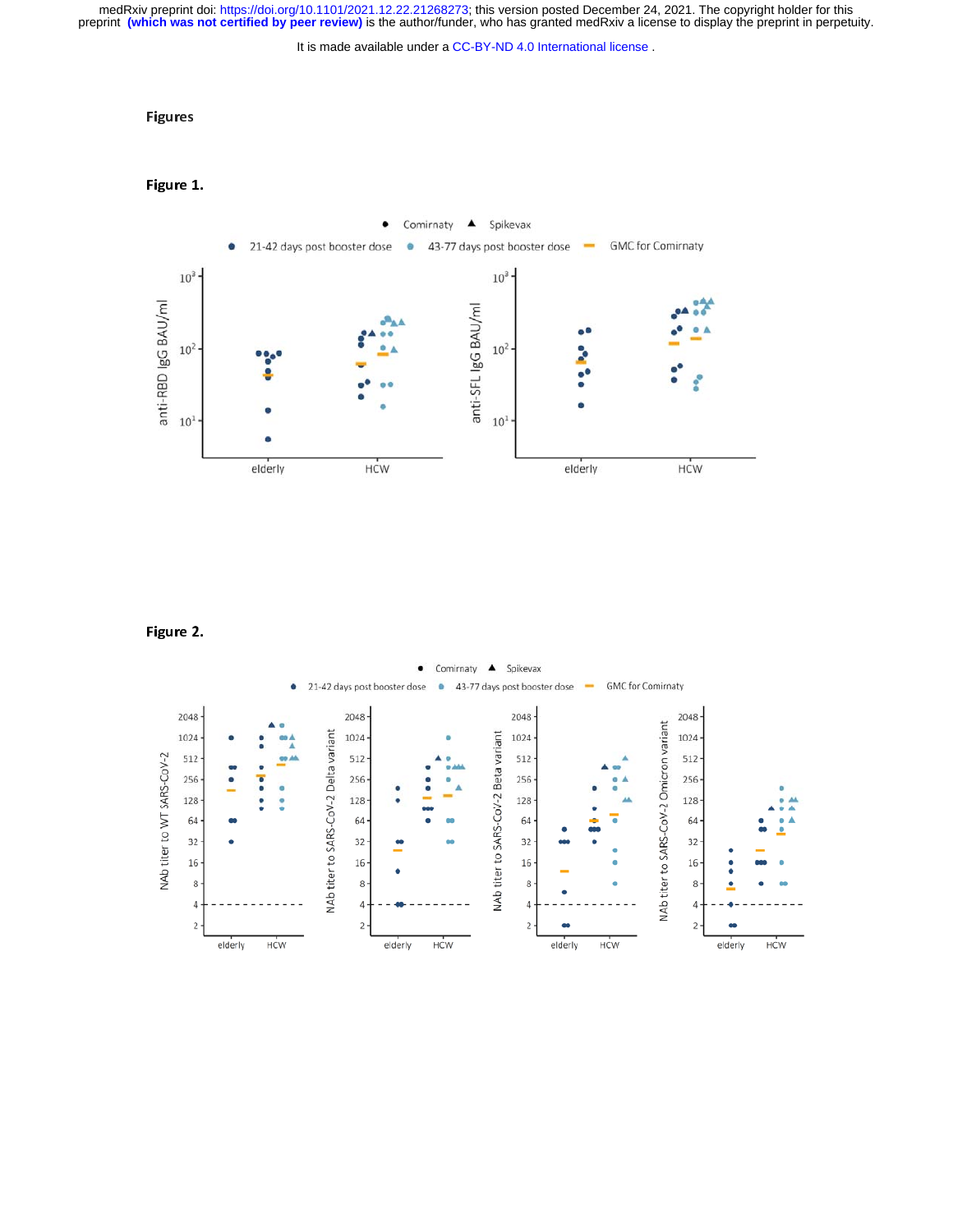medRxiv preprint doi: [https://doi.org/10.1101/2021.12.22.21268273;](https://doi.org/10.1101/2021.12.22.21268273) this version posted December 24, 2021. The copyright holder for this<br>preprint (which was not certified by peer review) is the author/funder, who has grante

It is made available under a [CC-BY-ND 4.0 International license](http://creativecommons.org/licenses/by-nd/4.0/) .

### Figures

### Figure 1.



### Figure 2.

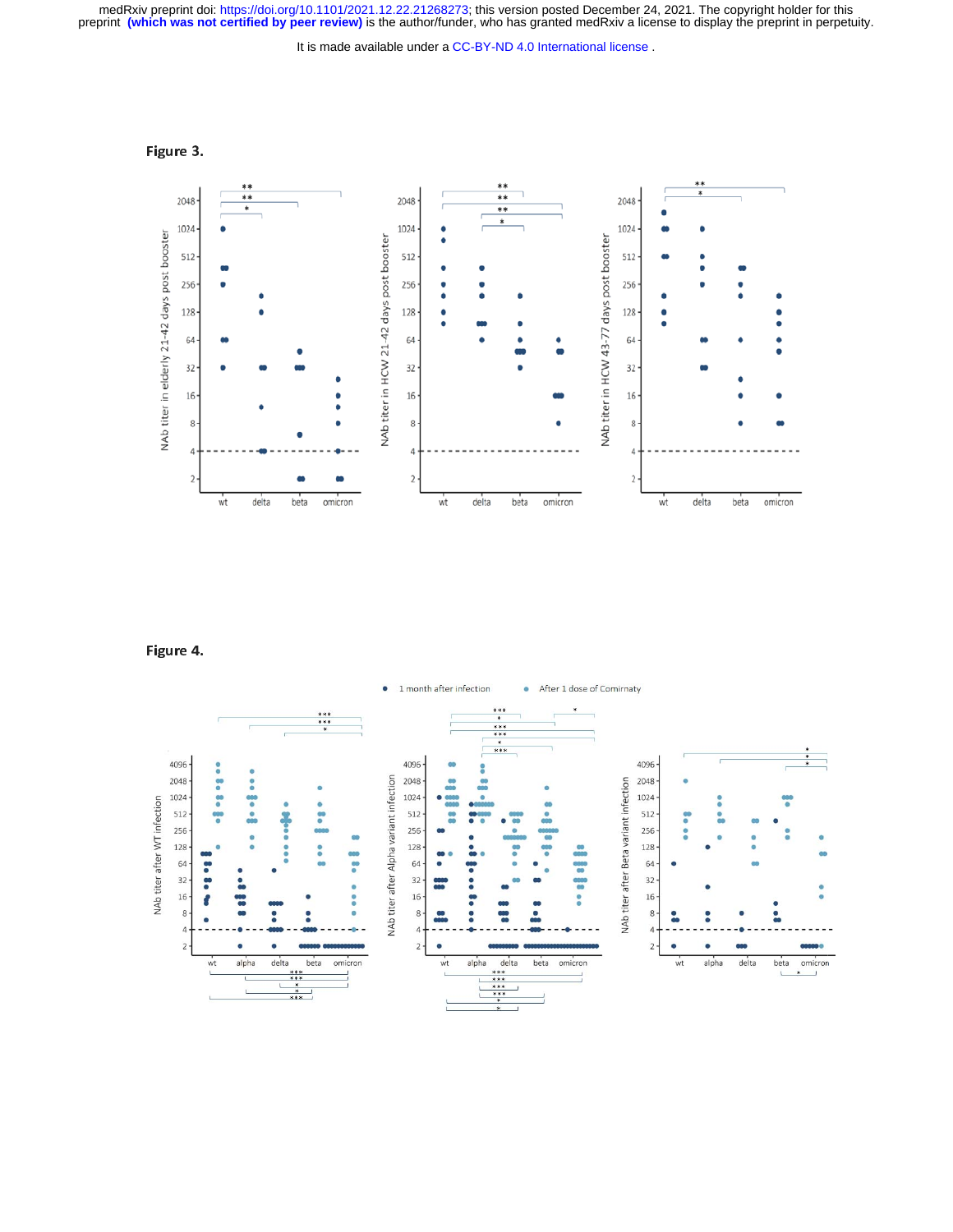medRxiv preprint doi: [https://doi.org/10.1101/2021.12.22.21268273;](https://doi.org/10.1101/2021.12.22.21268273) this version posted December 24, 2021. The copyright holder for this<br>preprint (which was not certified by peer review) is the author/funder, who has grante

It is made available under a [CC-BY-ND 4.0 International license](http://creativecommons.org/licenses/by-nd/4.0/) .

Figure 3.



Figure 4.